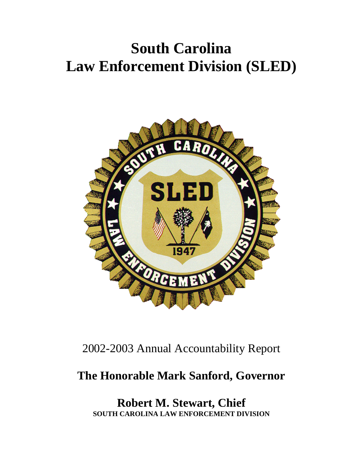# **South Carolina Law Enforcement Division (SLED)**



# 2002-2003 Annual Accountability Report

# **The Honorable Mark Sanford, Governor**

**Robert M. Stewart, Chief SOUTH CAROLINA LAW ENFORCEMENT DIVISION**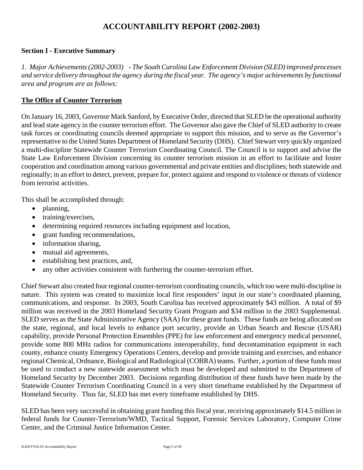# **ACCOUNTABILITY REPORT (2002-2003)**

# **Section I - Executive Summary**

*1. Major Achievements (2002-2003) - The South Carolina Law Enforcement Division (SLED) improved processes and service delivery throughout the agency during the fiscal year. The agency's major achievements by functional area and program are as follows:* 

# **The Office of Counter Terrorism**

On January 16, 2003, Governor Mark Sanford, by Executive Order, directed that SLED be the operational authority and lead state agency in the counter terrorism effort. The Governor also gave the Chief of SLED authority to create task forces or coordinating councils deemed appropriate to support this mission, and to serve as the Governor's representative to the United States Department of Homeland Security (DHS). Chief Stewart very quickly organized a multi-discipline Statewide Counter Terrorism Coordinating Council. The Council is to support and advise the State Law Enforcement Division concerning its counter terrorism mission in an effort to facilitate and foster cooperation and coordination among various governmental and private entities and disciplines; both statewide and regionally; in an effort to detect, prevent, prepare for, protect against and respond to violence or threats of violence from terrorist activities.

This shall be accomplished through:

- planning,
- training/exercises,
- determining required resources including equipment and location,
- grant funding recommendations,
- information sharing,
- mutual aid agreements,
- establishing best practices, and,
- any other activities consistent with furthering the counter-terrorism effort.

Chief Stewart also created four regional counter-terrorism coordinating councils, which too were multi-discipline in nature. This system was created to maximize local first responders' input in our state's coordinated planning, communications, and response. In 2003, South Carolina has received approximately \$43 million. A total of \$9 million was received in the 2003 Homeland Security Grant Program and \$34 million in the 2003 Supplemental. SLED serves as the State Administrative Agency (SAA) for these grant funds. These funds are being allocated on the state, regional, and local levels to enhance port security, provide an Urban Search and Rescue (USAR) capability, provide Personal Protection Ensembles (PPE) for law enforcement and emergency medical personnel, provide some 800 MHz radios for communications interoperability, fund decontamination equipment in each county, enhance county Emergency Operations Centers, develop and provide training and exercises, and enhance regional Chemical, Ordnance, Biological and Radiological (COBRA) teams. Further, a portion of these funds must be used to conduct a new statewide assessment which must be developed and submitted to the Department of Homeland Security by December 2003. Decisions regarding distribution of these funds have been made by the Statewide Counter Terrorism Coordinating Council in a very short timeframe established by the Department of Homeland Security. Thus far, SLED has met every timeframe established by DHS.

SLED has been very successful in obtaining grant funding this fiscal year, receiving approximately \$14.5 million in federal funds for Counter-Terrorism/WMD, Tactical Support, Forensic Services Laboratory, Computer Crime Center, and the Criminal Justice Information Center.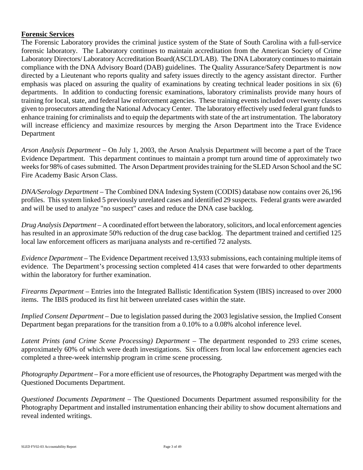#### **Forensic Services**

The Forensic Laboratory provides the criminal justice system of the State of South Carolina with a full-service forensic laboratory. The Laboratory continues to maintain accreditation from the American Society of Crime Laboratory Directors/ Laboratory Accreditation Board(ASCLD/LAB). The DNA Laboratory continues to maintain compliance with the DNA Advisory Board (DAB) guidelines. The Quality Assurance/Safety Department is now directed by a Lieutenant who reports quality and safety issues directly to the agency assistant director. Further emphasis was placed on assuring the quality of examinations by creating technical leader positions in six (6) departments. In addition to conducting forensic examinations, laboratory criminalists provide many hours of training for local, state, and federal law enforcement agencies. These training events included over twenty classes given to prosecutors attending the National Advocacy Center. The laboratory effectively used federal grant funds to enhance training for criminalists and to equip the departments with state of the art instrumentation. The laboratory will increase efficiency and maximize resources by merging the Arson Department into the Trace Evidence Department

*Arson Analysis Department* – On July 1, 2003, the Arson Analysis Department will become a part of the Trace Evidence Department. This department continues to maintain a prompt turn around time of approximately two weeks for 98% of cases submitted. The Arson Department provides training for the SLED Arson School and the SC Fire Academy Basic Arson Class.

*DNA/Serology Department* – The Combined DNA Indexing System (CODIS) database now contains over 26,196 profiles. This system linked 5 previously unrelated cases and identified 29 suspects. Federal grants were awarded and will be used to analyze "no suspect" cases and reduce the DNA case backlog.

*Drug Analysis Department* – A coordinated effort between the laboratory, solicitors, and local enforcement agencies has resulted in an approximate 50% reduction of the drug case backlog. The department trained and certified 125 local law enforcement officers as marijuana analysts and re-certified 72 analysts.

*Evidence Department* – The Evidence Department received 13,933 submissions, each containing multiple items of evidence. The Department's processing section completed 414 cases that were forwarded to other departments within the laboratory for further examination.

*Firearms Department* – Entries into the Integrated Ballistic Identification System (IBIS) increased to over 2000 items. The IBIS produced its first hit between unrelated cases within the state.

*Implied Consent Department* – Due to legislation passed during the 2003 legislative session, the Implied Consent Department began preparations for the transition from a 0.10% to a 0.08% alcohol inference level.

*Latent Prints (and Crime Scene Processing) Department* – The department responded to 293 crime scenes, approximately 60% of which were death investigations. Six officers from local law enforcement agencies each completed a three-week internship program in crime scene processing.

*Photography Department* – For a more efficient use of resources, the Photography Department was merged with the Questioned Documents Department.

*Questioned Documents Department* – The Questioned Documents Department assumed responsibility for the Photography Department and installed instrumentation enhancing their ability to show document alternations and reveal indented writings.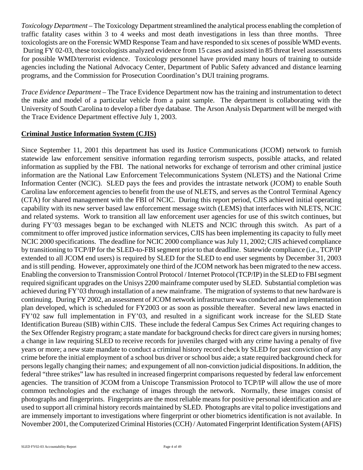*Toxicology Department* – The Toxicology Department streamlined the analytical process enabling the completion of traffic fatality cases within 3 to 4 weeks and most death investigations in less than three months. Three toxicologists are on the Forensic WMD Response Team and have responded to six scenes of possible WMD events. During FY 02-03, these toxicologists analyzed evidence from 15 cases and assisted in 85 threat level assessments for possible WMD/terrorist evidence. Toxicology personnel have provided many hours of training to outside agencies including the National Advocacy Center, Department of Public Safety advanced and distance learning programs, and the Commission for Prosecution Coordination's DUI training programs.

*Trace Evidence Department* – The Trace Evidence Department now has the training and instrumentation to detect the make and model of a particular vehicle from a paint sample. The department is collaborating with the University of South Carolina to develop a fiber dye database. The Arson Analysis Department will be merged with the Trace Evidence Department effective July 1, 2003.

# **Criminal Justice Information System (CJIS)**

Since September 11, 2001 this department has used its Justice Communications (JCOM) network to furnish statewide law enforcement sensitive information regarding terrorism suspects, possible attacks, and related information as supplied by the FBI. The national networks for exchange of terrorism and other criminal justice information are the National Law Enforcement Telecommunications System (NLETS) and the National Crime Information Center (NCIC). SLED pays the fees and provides the intrastate network (JCOM) to enable South Carolina law enforcement agencies to benefit from the use of NLETS, and serves as the Control Terminal Agency (CTA) for shared management with the FBI of NCIC. During this report period, CJIS achieved initial operating capability with its new server based law enforcement message switch (LEMS) that interfaces with NLETS, NCIC and related systems. Work to transition all law enforcement user agencies for use of this switch continues, but during FY'03 messages began to be exchanged with NLETS and NCIC through this switch. As part of a commitment to offer improved justice information services, CJIS has been implementing its capacity to fully meet NCIC 2000 specifications. The deadline for NCIC 2000 compliance was July 11, 2002; CJIS achieved compliance by transitioning to TCP/IP for the SLED-to-FBI segment prior to that deadline. Statewide compliance (i.e., TCP/IP extended to all JCOM end users) is required by SLED for the SLED to end user segments by December 31, 2003 and is still pending. However, approximately one third of the JCOM network has been migrated to the new access. Enabling the conversion to Transmission Control Protocol / Internet Protocol (TCP/IP) in the SLED to FBI segment required significant upgrades on the Unisys 2200 mainframe computer used by SLED. Substantial completion was achieved during FY'03 through installation of a new mainframe. The migration of systems to that new hardware is continuing. During FY 2002, an assessment of JCOM network infrastructure was conducted and an implementation plan developed, which is scheduled for FY2003 or as soon as possible thereafter. Several new laws enacted in FY'02 saw full implementation in FY'03, and resulted in a significant work increase for the SLED State Identification Bureau (SIB) within CJIS. These include the federal Campus Sex Crimes Act requiring changes to the Sex Offender Registry program; a state mandate for background checks for direct care givers in nursing homes; a change in law requiring SLED to receive records for juveniles charged with any crime having a penalty of five years or more; a new state mandate to conduct a criminal history record check by SLED for past conviction of any crime before the initial employment of a school bus driver or school bus aide; a state required background check for persons legally changing their names; and expungement of all non-conviction judicial dispositions. In addition, the federal "three strikes" law has resulted in increased fingerprint comparisons requested by federal law enforcement agencies. The transition of JCOM from a Uniscope Transmission Protocol to TCP/IP will allow the use of more common technologies and the exchange of images through the network. Normally, these images consist of photographs and fingerprints. Fingerprints are the most reliable means for positive personal identification and are used to support all criminal history records maintained by SLED. Photographs are vital to police investigations and are immensely important to investigations where fingerprint or other biometrics identification is not available. In November 2001, the Computerized Criminal Histories (CCH) / Automated Fingerprint Identification System (AFIS)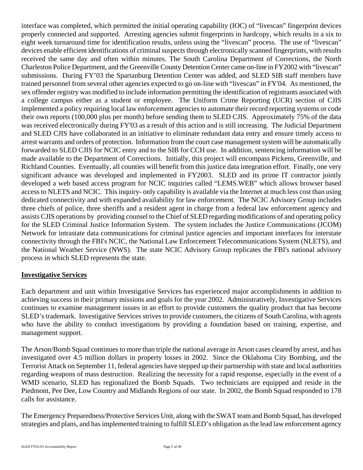interface was completed, which permitted the initial operating capability (IOC) of "livescan" fingerprint devices properly connected and supported. Arresting agencies submit fingerprints in hardcopy, which results in a six to eight week turnaround time for identification results, unless using the "livescan" process. The use of "livescan" devices enable efficient identifications of criminal suspects through electronically scanned fingerprints, with results received the same day and often within minutes. The South Carolina Department of Corrections, the North Charleston Police Department, and the Greenville County Detention Center came on-line in FY2002 with "livescan" submissions. During FY'03 the Spartanburg Detention Center was added, and SLED SIB staff members have trained personnel from several other agencies expected to go on-line with "livescan" in FY'04. As mentioned, the sex offender registry was modified to include information permitting the identification of registrants associated with a college campus either as a student or employee. The Uniform Crime Reporting (UCR) section of CJIS implemented a policy requiring local law enforcement agencies to automate their record reporting systems or code their own reports (100,000 plus per month) before sending them to SLED CJIS. Approximately 75% of the data was received electronically during FY'03 as a result of this action and is still increasing. The Judicial Department and SLED CJIS have collaborated in an initiative to eliminate redundant data entry and ensure timely access to arrest warrants and orders of protection. Information from the court case management system will be automatically forwarded to SLED CJIS for NCIC entry and to the SIB for CCH use. In addition, sentencing information will be made available to the Department of Corrections. Initially, this project will encompass Pickens, Greenville, and Richland Counties. Eventually, all counties will benefit from this justice data integration effort. Finally, one very significant advance was developed and implemented in FY2003. SLED and its prime IT contractor jointly developed a web based access program for NCIC inquiries called "LEMS.WEB" which allows browser based access to NLETS and NCIC. This inquiry- only capability is available via the Internet at much less cost than using dedicated connectivity and with expanded availability for law enforcement. The NCIC Advisory Group includes three chiefs of police, three sheriffs and a resident agent in charge from a federal law enforcement agency and assists CJIS operations by providing counsel to the Chief of SLED regarding modifications of and operating policy for the SLED Criminal Justice Information System. The system includes the Justice Communications (JCOM) Network for intrastate data communications for criminal justice agencies and important interfaces for interstate connectivity through the FBI's NCIC, the National Law Enforcement Telecommunications System (NLETS), and the National Weather Service (NWS). The state NCIC Advisory Group replicates the FBI's national advisory process in which SLED represents the state.

# **Investigative Services**

Each department and unit within Investigative Services has experienced major accomplishments in addition to achieving success in their primary missions and goals for the year 2002. Administratively, Investigative Services continues to examine management issues in an effort to provide customers the quality product that has become SLED's trademark. Investigative Services strives to provide customers, the citizens of South Carolina, with agents who have the ability to conduct investigations by providing a foundation based on training, expertise, and management support.

The Arson/Bomb Squad continues to more than triple the national average in Arson cases cleared by arrest, and has investigated over 4.5 million dollars in property losses in 2002. Since the Oklahoma City Bombing, and the Terrorist Attack on September 11, federal agencies have stepped up their partnership with state and local authorities regarding weapons of mass destruction. Realizing the necessity for a rapid response, especially in the event of a WMD scenario, SLED has regionalized the Bomb Squads. Two technicians are equipped and reside in the Piedmont, Pee Dee, Low Country and Midlands Regions of our state. In 2002, the Bomb Squad responded to 178 calls for assistance.

The Emergency Preparedness/Protective Services Unit, along with the SWAT team and Bomb Squad, has developed strategies and plans, and has implemented training to fulfill SLED's obligation as the lead law enforcement agency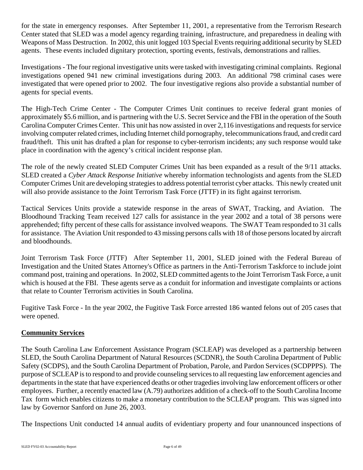for the state in emergency responses. After September 11, 2001, a representative from the Terrorism Research Center stated that SLED was a model agency regarding training, infrastructure, and preparedness in dealing with Weapons of Mass Destruction. In 2002, this unit logged 103 Special Events requiring additional security by SLED agents. These events included dignitary protection, sporting events, festivals, demonstrations and rallies.

Investigations - The four regional investigative units were tasked with investigating criminal complaints. Regional investigations opened 941 new criminal investigations during 2003. An additional 798 criminal cases were investigated that were opened prior to 2002. The four investigative regions also provide a substantial number of agents for special events.

The High-Tech Crime Center - The Computer Crimes Unit continues to receive federal grant monies of approximately \$5.6 million, and is partnering with the U.S. Secret Service and the FBI in the operation of the South Carolina Computer Crimes Center. This unit has now assisted in over 2,116 investigations and requests for service involving computer related crimes, including Internet child pornography, telecommunications fraud, and credit card fraud/theft. This unit has drafted a plan for response to cyber-terrorism incidents; any such response would take place in coordination with the agency's critical incident response plan.

The role of the newly created SLED Computer Crimes Unit has been expanded as a result of the 9/11 attacks. SLED created a *Cyber Attack Response Initiative* whereby information technologists and agents from the SLED Computer Crimes Unit are developing strategies to address potential terrorist cyber attacks. This newly created unit will also provide assistance to the Joint Terrorism Task Force (JTTF) in its fight against terrorism.

Tactical Services Units provide a statewide response in the areas of SWAT, Tracking, and Aviation. The Bloodhound Tracking Team received 127 calls for assistance in the year 2002 and a total of 38 persons were apprehended; fifty percent of these calls for assistance involved weapons. The SWAT Team responded to 31 calls for assistance. The Aviation Unit responded to 43 missing persons calls with 18 of those persons located by aircraft and bloodhounds.

Joint Terrorism Task Force (JTTF) After September 11, 2001, SLED joined with the Federal Bureau of Investigation and the United States Attorney's Office as partners in the Anti-Terrorism Taskforce to include joint command post, training and operations. In 2002, SLED committed agents to the Joint Terrorism Task Force, a unit which is housed at the FBI. These agents serve as a conduit for information and investigate complaints or actions that relate to Counter Terrorism activities in South Carolina.

Fugitive Task Force - In the year 2002, the Fugitive Task Force arrested 186 wanted felons out of 205 cases that were opened.

# **Community Services**

The South Carolina Law Enforcement Assistance Program (SCLEAP) was developed as a partnership between SLED, the South Carolina Department of Natural Resources (SCDNR), the South Carolina Department of Public Safety (SCDPS), and the South Carolina Department of Probation, Parole, and Pardon Services (SCDPPPS). The purpose of SCLEAP is to respond to and provide counseling services to all requesting law enforcement agencies and departments in the state that have experienced deaths or other tragedies involving law enforcement officers or other employees. Further, a recently enacted law (A.79) authorizes addition of a check-off to the South Carolina Income Tax form which enables citizens to make a monetary contribution to the SCLEAP program. This was signed into law by Governor Sanford on June 26, 2003.

The Inspections Unit conducted 14 annual audits of evidentiary property and four unannounced inspections of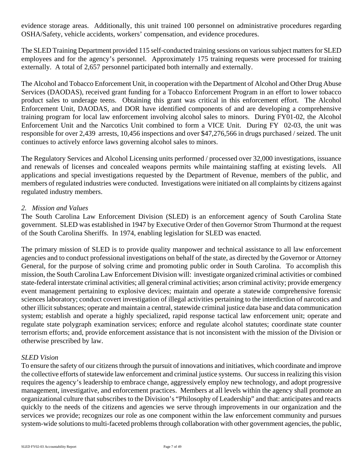evidence storage areas. Additionally, this unit trained 100 personnel on administrative procedures regarding OSHA/Safety, vehicle accidents, workers' compensation, and evidence procedures.

The SLED Training Department provided 115 self-conducted training sessions on various subject matters for SLED employees and for the agency's personnel. Approximately 175 training requests were processed for training externally. A total of 2,657 personnel participated both internally and externally.

The Alcohol and Tobacco Enforcement Unit, in cooperation with the Department of Alcohol and Other Drug Abuse Services (DAODAS), received grant funding for a Tobacco Enforcement Program in an effort to lower tobacco product sales to underage teens. Obtaining this grant was critical in this enforcement effort. The Alcohol Enforcement Unit, DAODAS, and DOR have identified components of and are developing a comprehensive training program for local law enforcement involving alcohol sales to minors. During FY01-02, the Alcohol Enforcement Unit and the Narcotics Unit combined to form a VICE Unit. During FY 02-03, the unit was responsible for over 2,439 arrests, 10,456 inspections and over \$47,276,566 in drugs purchased / seized. The unit continues to actively enforce laws governing alcohol sales to minors.

The Regulatory Services and Alcohol Licensing units performed / processed over 32,000 investigations, issuance and renewals of licenses and concealed weapons permits while maintaining staffing at existing levels. All applications and special investigations requested by the Department of Revenue, members of the public, and members of regulated industries were conducted. Investigations were initiated on all complaints by citizens against regulated industry members.

#### *2. Mission and Values*

The South Carolina Law Enforcement Division (SLED) is an enforcement agency of South Carolina State government. SLED was established in 1947 by Executive Order of then Governor Strom Thurmond at the request of the South Carolina Sheriffs. In 1974, enabling legislation for SLED was enacted.

The primary mission of SLED is to provide quality manpower and technical assistance to all law enforcement agencies and to conduct professional investigations on behalf of the state, as directed by the Governor or Attorney General, for the purpose of solving crime and promoting public order in South Carolina. To accomplish this mission, the South Carolina Law Enforcement Division will: investigate organized criminal activities or combined state-federal interstate criminal activities; all general criminal activities; arson criminal activity; provide emergency event management pertaining to explosive devices; maintain and operate a statewide comprehensive forensic sciences laboratory; conduct covert investigation of illegal activities pertaining to the interdiction of narcotics and other illicit substances; operate and maintain a central, statewide criminal justice data base and data communication system; establish and operate a highly specialized, rapid response tactical law enforcement unit; operate and regulate state polygraph examination services; enforce and regulate alcohol statutes; coordinate state counter terrorism efforts; and, provide enforcement assistance that is not inconsistent with the mission of the Division or otherwise prescribed by law.

#### *SLED Vision*

To ensure the safety of our citizens through the pursuit of innovations and initiatives, which coordinate and improve the collective efforts of statewide law enforcement and criminal justice systems. Our success in realizing this vision requires the agency's leadership to embrace change, aggressively employ new technology, and adopt progressive management, investigative, and enforcement practices. Members at all levels within the agency shall promote an organizational culture that subscribes to the Division's "Philosophy of Leadership" and that: anticipates and reacts quickly to the needs of the citizens and agencies we serve through improvements in our organization and the services we provide; recognizes our role as one component within the law enforcement community and pursues system-wide solutions to multi-faceted problems through collaboration with other government agencies, the public,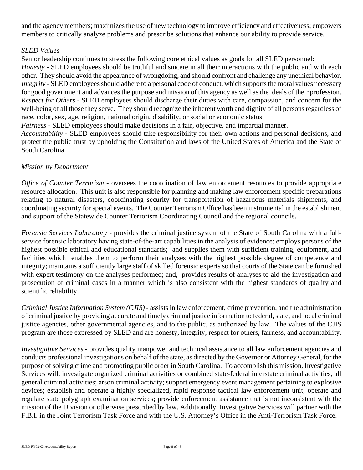and the agency members; maximizes the use of new technology to improve efficiency and effectiveness; empowers members to critically analyze problems and prescribe solutions that enhance our ability to provide service.

# *SLED Values*

Senior leadership continues to stress the following core ethical values as goals for all SLED personnel:

*Honesty -* SLED employees should be truthful and sincere in all their interactions with the public and with each other. They should avoid the appearance of wrongdoing, and should confront and challenge any unethical behavior. *Integrity -* SLED employees should adhere to a personal code of conduct, which supports the moral values necessary for good government and advances the purpose and mission of this agency as well as the ideals of their profession. *Respect for Others -* SLED employees should discharge their duties with care, compassion, and concern for the well-being of all those they serve. They should recognize the inherent worth and dignity of all persons regardless of race, color, sex, age, religion, national origin, disability, or social or economic status.

*Fairness -* SLED employees should make decisions in a fair, objective, and impartial manner.

*Accountability -* SLED employees should take responsibility for their own actions and personal decisions, and protect the public trust by upholding the Constitution and laws of the United States of America and the State of South Carolina.

# *Mission by Department*

*Office of Counter Terrorism -* oversees the coordination of law enforcement resources to provide appropriate resource allocation. This unit is also responsible for planning and making law enforcement specific preparations relating to natural disasters, coordinating security for transportation of hazardous materials shipments, and coordinating security for special events. The Counter Terrorism Office has been instrumental in the establishment and support of the Statewide Counter Terrorism Coordinating Council and the regional councils.

*Forensic Services Laboratory - provides the criminal justice system of the State of South Carolina with a full*service forensic laboratory having state-of-the-art capabilities in the analysis of evidence; employs persons of the highest possible ethical and educational standards; and supplies them with sufficient training, equipment, and facilities which enables them to perform their analyses with the highest possible degree of competence and integrity; maintains a sufficiently large staff of skilled forensic experts so that courts of the State can be furnished with expert testimony on the analyses performed; and, provides results of analyses to aid the investigation and prosecution of criminal cases in a manner which is also consistent with the highest standards of quality and scientific reliability.

 *Criminal Justice Information System (CJIS)* - assists in law enforcement, crime prevention, and the administration of criminal justice by providing accurate and timely criminal justice information to federal, state, and local criminal justice agencies, other governmental agencies, and to the public, as authorized by law. The values of the CJIS program are those expressed by SLED and are honesty, integrity, respect for others, fairness, and accountability.

*Investigative Services* - provides quality manpower and technical assistance to all law enforcement agencies and conducts professional investigations on behalf of the state, as directed by the Governor or Attorney General, for the purpose of solving crime and promoting public order in South Carolina. To accomplish this mission, Investigative Services will: investigate organized criminal activities or combined state-federal interstate criminal activities, all general criminal activities; arson criminal activity; support emergency event management pertaining to explosive devices; establish and operate a highly specialized, rapid response tactical law enforcement unit; operate and regulate state polygraph examination services; provide enforcement assistance that is not inconsistent with the mission of the Division or otherwise prescribed by law. Additionally, Investigative Services will partner with the F.B.I. in the Joint Terrorism Task Force and with the U.S. Attorney's Office in the Anti-Terrorism Task Force.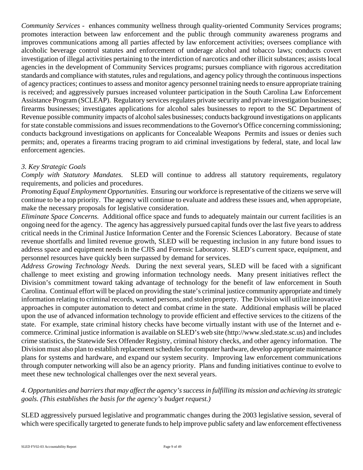*Community Services* - enhances community wellness through quality-oriented Community Services programs; promotes interaction between law enforcement and the public through community awareness programs and improves communications among all parties affected by law enforcement activities; oversees compliance with alcoholic beverage control statutes and enforcement of underage alcohol and tobacco laws; conducts covert investigation of illegal activities pertaining to the interdiction of narcotics and other illicit substances; assists local agencies in the development of Community Services programs; pursues compliance with rigorous accreditation standards and compliance with statutes, rules and regulations, and agency policy through the continuous inspections of agency practices; continues to assess and monitor agency personnel training needs to ensure appropriate training is received; and aggressively pursues increased volunteer participation in the South Carolina Law Enforcement Assistance Program (SCLEAP). Regulatory services regulates private security and private investigation businesses; firearms businesses; investigates applications for alcohol sales businesses to report to the SC Department of Revenue possible community impacts of alcohol sales businesses; conducts background investigations on applicants for state constable commissions and issues recommendations to the Governor's Office concerning commissioning; conducts background investigations on applicants for Concealable Weapons Permits and issues or denies such permits; and, operates a firearms tracing program to aid criminal investigations by federal, state, and local law enforcement agencies.

# *3. Key Strategic Goals*

*Comply with Statutory Mandates.* SLED will continue to address all statutory requirements, regulatory requirements, and policies and procedures.

*Promoting Equal Employment Opportunities*. Ensuring our workforce is representative of the citizens we serve will continue to be a top priority. The agency will continue to evaluate and address these issues and, when appropriate, make the necessary proposals for legislative consideration.

*Eliminate Space Concerns.* Additional office space and funds to adequately maintain our current facilities is an ongoing need for the agency. The agency has aggressively pursued capital funds over the last five years to address critical needs in the Criminal Justice Information Center and the Forensic Sciences Laboratory. Because of state revenue shortfalls and limited revenue growth, SLED will be requesting inclusion in any future bond issues to address space and equipment needs in the CJIS and Forensic Laboratory. SLED's current space, equipment, and personnel resources have quickly been surpassed by demand for services.

*Address Growing Technology Needs.* During the next several years, SLED will be faced with a significant challenge to meet existing and growing information technology needs. Many present initiatives reflect the Division's commitment toward taking advantage of technology for the benefit of law enforcement in South Carolina. Continual effort will be placed on providing the state's criminal justice community appropriate and timely information relating to criminal records, wanted persons, and stolen property. The Division will utilize innovative approaches in computer automation to detect and combat crime in the state. Additional emphasis will be placed upon the use of advanced information technology to provide efficient and effective services to the citizens of the state. For example, state criminal history checks have become virtually instant with use of the Internet and ecommerce. Criminal justice information is available on SLED's web site ([http://www.sled.state.sc.us\)](http://www.sled.state.sc.us) and includes crime statistics, the Statewide Sex Offender Registry, criminal history checks, and other agency information. The Division must also plan to establish replacement schedules for computer hardware, develop appropriate maintenance plans for systems and hardware, and expand our system security. Improving law enforcement communications through computer networking will also be an agency priority. Plans and funding initiatives continue to evolve to meet these new technological challenges over the next several years.

# *4. Opportunities and barriers that may affect the agency's success in fulfilling its mission and achieving its strategic goals. (This establishes the basis for the agency's budget request.)*

SLED aggressively pursued legislative and programmatic changes during the 2003 legislative session, several of which were specifically targeted to generate funds to help improve public safety and law enforcement effectiveness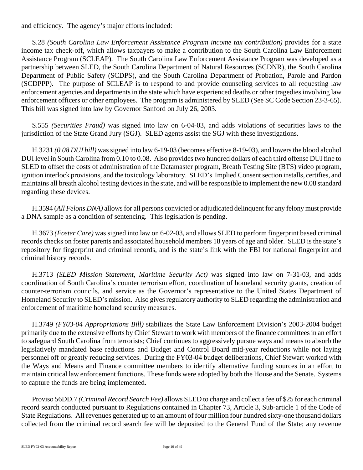and efficiency. The agency's major efforts included:

S.28 *(South Carolina Law Enforcement Assistance Program income tax contribution)* provides for a state income tax check-off, which allows taxpayers to make a contribution to the South Carolina Law Enforcement Assistance Program (SCLEAP). The South Carolina Law Enforcement Assistance Program was developed as a partnership between SLED, the South Carolina Department of Natural Resources (SCDNR), the South Carolina Department of Public Safety (SCDPS), and the South Carolina Department of Probation, Parole and Pardon (SCDPPP). The purpose of SCLEAP is to respond to and provide counseling services to all requesting law enforcement agencies and departments in the state which have experienced deaths or other tragedies involving law enforcement officers or other employees. The program is administered by SLED (See SC Code Section 23-3-65). This bill was signed into law by Governor Sanford on July 26, 2003.

S.555 *(Securities Fraud)* was signed into law on 6-04-03, and adds violations of securities laws to the jurisdiction of the State Grand Jury (SGJ). SLED agents assist the SGJ with these investigations.

H.3231 *(0.08 DUI bill)* was signed into law 6-19-03 (becomes effective 8-19-03), and lowers the blood alcohol DUI level in South Carolina from 0.10 to 0.08. Also provides two hundred dollars of each third offense DUI fine to SLED to offset the costs of administration of the Datamaster program, Breath Testing Site (BTS) video program, ignition interlock provisions, and the toxicology laboratory. SLED's Implied Consent section installs, certifies, and maintains all breath alcohol testing devices in the state, and will be responsible to implement the new 0.08 standard regarding these devices.

H.3594 (*All Felons DNA)* allows for all persons convicted or adjudicated delinquent for any felony must provide a DNA sample as a condition of sentencing. This legislation is pending.

H.3673 *(Foster Care)* was signed into law on 6-02-03, and allows SLED to perform fingerprint based criminal records checks on foster parents and associated household members 18 years of age and older. SLED is the state's repository for fingerprint and criminal records, and is the state's link with the FBI for national fingerprint and criminal history records.

H.3713 *(SLED Mission Statement, Maritime Security Act)* was signed into law on 7-31-03, and adds coordination of South Carolina's counter terrorism effort, coordination of homeland security grants, creation of counter-terrorism councils, and service as the Governor's representative to the United States Department of Homeland Security to SLED's mission. Also gives regulatory authority to SLED regarding the administration and enforcement of maritime homeland security measures.

H.3749 *(FY03-04 Appropriations Bill)* stabilizes the State Law Enforcement Division's 2003-2004 budget primarily due to the extensive efforts by Chief Stewart to work with members of the finance committees in an effort to safeguard South Carolina from terrorists; Chief continues to aggressively pursue ways and means to absorb the legislatively mandated base reductions and Budget and Control Board mid-year reductions while not laying personnel off or greatly reducing services. During the FY03-04 budget deliberations, Chief Stewart worked with the Ways and Means and Finance committee members to identify alternative funding sources in an effort to maintain critical law enforcement functions. These funds were adopted by both the House and the Senate. Systems to capture the funds are being implemented.

Proviso 56DD.7 *(Criminal Record Search Fee)* allows SLED to charge and collect a fee of \$25 for each criminal record search conducted pursuant to Regulations contained in Chapter 73, Article 3, Sub-article 1 of the Code of State Regulations. All revenues generated up to an amount of four million four hundred sixty-one thousand dollars collected from the criminal record search fee will be deposited to the General Fund of the State; any revenue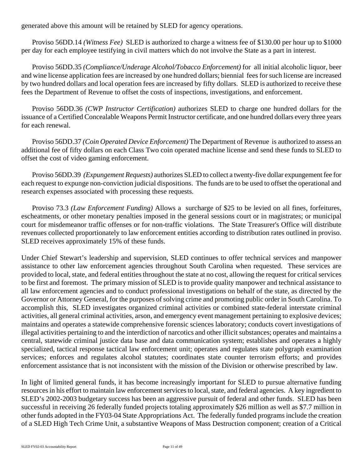generated above this amount will be retained by SLED for agency operations.

Proviso 56DD.14 *(Witness Fee)* SLED is authorized to charge a witness fee of \$130.00 per hour up to \$1000 per day for each employee testifying in civil matters which do not involve the State as a part in interest.

Proviso 56DD.35 *(Compliance/Underage Alcohol/Tobacco Enforcement)* for all initial alcoholic liquor, beer and wine license application fees are increased by one hundred dollars; biennial fees for such license are increased by two hundred dollars and local operation fees are increased by fifty dollars. SLED is authorized to receive these fees the Department of Revenue to offset the costs of inspections, investigations, and enforcement.

Proviso 56DD.36 *(CWP Instructor Certification)* authorizes SLED to charge one hundred dollars for the issuance of a Certified Concealable Weapons Permit Instructor certificate, and one hundred dollars every three years for each renewal.

Proviso 56DD.37 *(Coin Operated Device Enforcement)* The Department of Revenue is authorized to assess an additional fee of fifty dollars on each Class Two coin operated machine license and send these funds to SLED to offset the cost of video gaming enforcement.

Proviso 56DD.39 *(Expungement Requests)* authorizes SLED to collect a twenty-five dollar expungement fee for each request to expunge non-conviction judicial dispositions. The funds are to be used to offset the operational and research expenses associated with processing these requests.

Proviso 73.3 *(Law Enforcement Funding)* Allows a surcharge of \$25 to be levied on all fines, forfeitures, escheatments, or other monetary penalties imposed in the general sessions court or in magistrates; or municipal court for misdemeanor traffic offenses or for non-traffic violations. The State Treasurer's Office will distribute revenues collected proportionately to law enforcement entities according to distribution rates outlined in proviso. SLED receives approximately 15% of these funds.

Under Chief Stewart's leadership and supervision, SLED continues to offer technical services and manpower assistance to other law enforcement agencies throughout South Carolina when requested. These services are provided to local, state, and federal entities throughout the state at no cost, allowing the request for critical services to be first and foremost. The primary mission of SLED is to provide quality manpower and technical assistance to all law enforcement agencies and to conduct professional investigations on behalf of the state, as directed by the Governor or Attorney General, for the purposes of solving crime and promoting public order in South Carolina. To accomplish this, SLED investigates organized criminal activities or combined state-federal interstate criminal activities, all general criminal activities, arson, and emergency event management pertaining to explosive devices; maintains and operates a statewide comprehensive forensic sciences laboratory; conducts covert investigations of illegal activities pertaining to and the interdiction of narcotics and other illicit substances; operates and maintains a central, statewide criminal justice data base and data communication system; establishes and operates a highly specialized, tactical response tactical law enforcement unit; operates and regulates state polygraph examination services; enforces and regulates alcohol statutes; coordinates state counter terrorism efforts; and provides enforcement assistance that is not inconsistent with the mission of the Division or otherwise prescribed by law.

In light of limited general funds, it has become increasingly important for SLED to pursue alternative funding resources in his effort to maintain law enforcement services to local, state, and federal agencies. A key ingredient to SLED's 2002-2003 budgetary success has been an aggressive pursuit of federal and other funds. SLED has been successful in receiving 26 federally funded projects totaling approximately \$26 million as well as \$7.7 million in other funds adopted in the FY03-04 State Appropriations Act. The federally funded programs include the creation of a SLED High Tech Crime Unit, a substantive Weapons of Mass Destruction component; creation of a Critical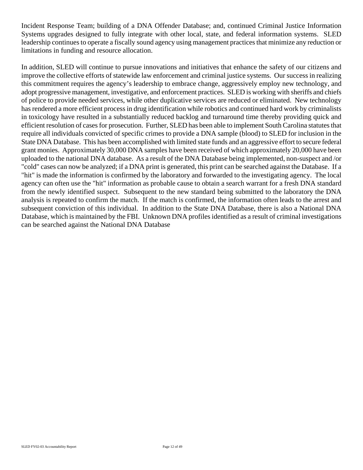Incident Response Team; building of a DNA Offender Database; and, continued Criminal Justice Information Systems upgrades designed to fully integrate with other local, state, and federal information systems. SLED leadership continues to operate a fiscally sound agency using management practices that minimize any reduction or limitations in funding and resource allocation.

In addition, SLED will continue to pursue innovations and initiatives that enhance the safety of our citizens and improve the collective efforts of statewide law enforcement and criminal justice systems. Our success in realizing this commitment requires the agency's leadership to embrace change, aggressively employ new technology, and adopt progressive management, investigative, and enforcement practices. SLED is working with sheriffs and chiefs of police to provide needed services, while other duplicative services are reduced or eliminated. New technology has rendered a more efficient process in drug identification while robotics and continued hard work by criminalists in toxicology have resulted in a substantially reduced backlog and turnaround time thereby providing quick and efficient resolution of cases for prosecution. Further, SLED has been able to implement South Carolina statutes that require all individuals convicted of specific crimes to provide a DNA sample (blood) to SLED for inclusion in the State DNA Database. This has been accomplished with limited state funds and an aggressive effort to secure federal grant monies. Approximately 30,000 DNA samples have been received of which approximately 20,000 have been uploaded to the national DNA database. As a result of the DNA Database being implemented, non-suspect and /or "cold" cases can now be analyzed; if a DNA print is generated, this print can be searched against the Database. If a "hit" is made the information is confirmed by the laboratory and forwarded to the investigating agency. The local agency can often use the "hit" information as probable cause to obtain a search warrant for a fresh DNA standard from the newly identified suspect. Subsequent to the new standard being submitted to the laboratory the DNA analysis is repeated to confirm the match. If the match is confirmed, the information often leads to the arrest and subsequent conviction of this individual. In addition to the State DNA Database, there is also a National DNA Database, which is maintained by the FBI. Unknown DNA profiles identified as a result of criminal investigations can be searched against the National DNA Database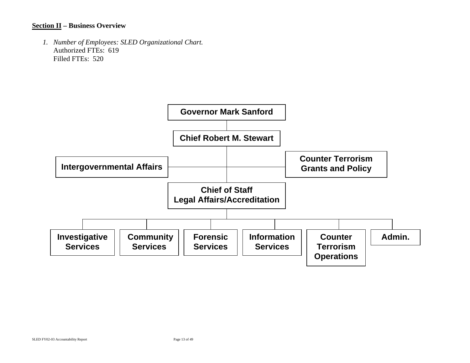#### **Section II – Business Overview**

*1. Number of Employees: SLED Organizational Chart.* Authorized FTEs: 619 Filled FTEs: 520

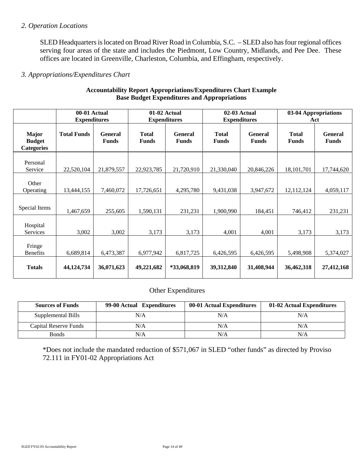#### *2. Operation Locations*

SLED Headquarters is located on Broad River Road in Columbia, S.C. – SLED also has four regional offices serving four areas of the state and includes the Piedmont, Low Country, Midlands, and Pee Dee. These offices are located in Greenville, Charleston, Columbia, and Effingham, respectively.

#### *3. Appropriations/Expenditures Chart*

|                                                    | 00-01 Actual<br><b>Expenditures</b> |                                | 01-02 Actual<br><b>Expenditures</b> |                                | 02-03 Actual<br><b>Expenditures</b> |                                | 03-04 Appropriations<br>Act  |                                |
|----------------------------------------------------|-------------------------------------|--------------------------------|-------------------------------------|--------------------------------|-------------------------------------|--------------------------------|------------------------------|--------------------------------|
| <b>Major</b><br><b>Budget</b><br><b>Categories</b> | <b>Total Funds</b>                  | <b>General</b><br><b>Funds</b> | <b>Total</b><br><b>Funds</b>        | <b>General</b><br><b>Funds</b> | <b>Total</b><br><b>Funds</b>        | <b>General</b><br><b>Funds</b> | <b>Total</b><br><b>Funds</b> | <b>General</b><br><b>Funds</b> |
| Personal<br>Service                                | 22,520,104                          | 21,879,557                     | 22,923,785                          | 21,720,910                     | 21,330,040                          | 20,846,226                     | 18,101,701                   | 17,744,620                     |
| Other<br>Operating                                 | 13,444,155                          | 7,460,072                      | 17,726,651                          | 4,295,780                      | 9,431,038                           | 3,947,672                      | 12,112,124                   | 4,059,117                      |
| Special Items                                      | 1,467,659                           | 255,605                        | 1,590,131                           | 231,231                        | 1,900,990                           | 184,451                        | 746,412                      | 231,231                        |
| Hospital<br>Services                               | 3,002                               | 3,002                          | 3,173                               | 3,173                          | 4,001                               | 4,001                          | 3,173                        | 3,173                          |
| Fringe<br><b>Benefits</b>                          | 6,689,814                           | 6,473,387                      | 6,977,942                           | 6,817,725                      | 6,426,595                           | 6,426,595                      | 5,498,908                    | 5,374,027                      |
| <b>Totals</b>                                      | 44, 124, 734                        | 36,071,623                     | 49,221,682                          | *33,068,819                    | 39,312,840                          | 31,408,944                     | 36,462,318                   | 27,412,168                     |

#### **Accountability Report Appropriations/Expenditures Chart Example Base Budget Expenditures and Appropriations**

#### Other Expenditures

| <b>Sources of Funds</b> | 99-00 Actual Expenditures | 00-01 Actual Expenditures | 01-02 Actual Expenditures |
|-------------------------|---------------------------|---------------------------|---------------------------|
| Supplemental Bills      | N/A                       | N/A                       | N/A                       |
| Capital Reserve Funds   | N/A                       | N/A                       | N/A                       |
| <b>Bonds</b>            | N/A                       | N/A                       | N/A                       |

\*Does not include the mandated reduction of \$571,067 in SLED "other funds" as directed by Proviso 72.111 in FY01-02 Appropriations Act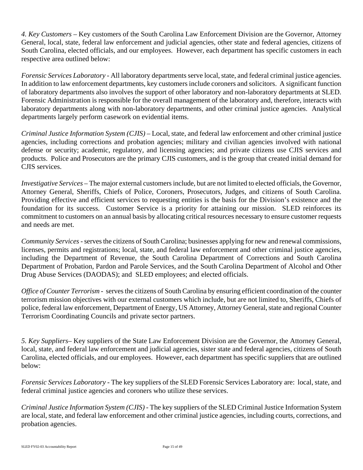*4. Key Customers –* Key customers of the South Carolina Law Enforcement Division are the Governor, Attorney General, local, state, federal law enforcement and judicial agencies, other state and federal agencies, citizens of South Carolina, elected officials, and our employees. However, each department has specific customers in each respective area outlined below:

*Forensic Services Laboratory* - All laboratory departments serve local, state, and federal criminal justice agencies. In addition to law enforcement departments, key customers include coroners and solicitors. A significant function of laboratory departments also involves the support of other laboratory and non-laboratory departments at SLED. Forensic Administration is responsible for the overall management of the laboratory and, therefore, interacts with laboratory departments along with non-laboratory departments, and other criminal justice agencies. Analytical departments largely perform casework on evidential items.

*Criminal Justice Information System (CJIS)* – Local, state, and federal law enforcement and other criminal justice agencies, including corrections and probation agencies; military and civilian agencies involved with national defense or security; academic, regulatory, and licensing agencies; and private citizens use CJIS services and products. Police and Prosecutors are the primary CJIS customers, and is the group that created initial demand for CJIS services.

*Investigative Services* – The major external customers include, but are not limited to elected officials, the Governor, Attorney General, Sheriffs, Chiefs of Police, Coroners, Prosecutors, Judges, and citizens of South Carolina. Providing effective and efficient services to requesting entities is the basis for the Division's existence and the foundation for its success. Customer Service is a priority for attaining our mission. SLED reinforces its commitment to customers on an annual basis by allocating critical resources necessary to ensure customer requests and needs are met.

*Community Services -* serves the citizens of South Carolina; businesses applying for new and renewal commissions, licenses, permits and registrations; local, state, and federal law enforcement and other criminal justice agencies, including the Department of Revenue, the South Carolina Department of Corrections and South Carolina Department of Probation, Pardon and Parole Services, and the South Carolina Department of Alcohol and Other Drug Abuse Services (DAODAS); and SLED employees; and elected officials.

*Office of Counter Terrorism* - serves the citizens of South Carolina by ensuring efficient coordination of the counter terrorism mission objectives with our external customers which include, but are not limited to, Sheriffs, Chiefs of police, federal law enforcement, Department of Energy, US Attorney, Attorney General, state and regional Counter Terrorism Coordinating Councils and private sector partners.

*5. Key Suppliers–* Key suppliers of the State Law Enforcement Division are the Governor, the Attorney General, local, state, and federal law enforcement and judicial agencies, sister state and federal agencies, citizens of South Carolina, elected officials, and our employees. However, each department has specific suppliers that are outlined below:

*Forensic Services Laboratory* - The key suppliers of the SLED Forensic Services Laboratory are: local, state, and federal criminal justice agencies and coroners who utilize these services.

*Criminal Justice Information System (CJIS)* - The key suppliers of the SLED Criminal Justice Information System are local, state, and federal law enforcement and other criminal justice agencies, including courts, corrections, and probation agencies.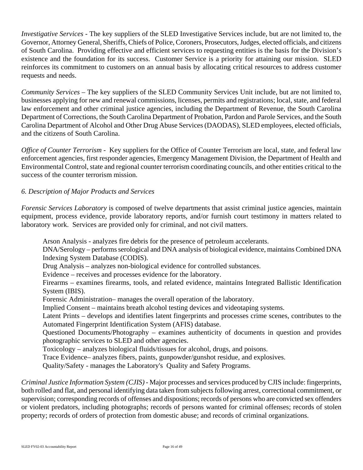*Investigative Services* - The key suppliers of the SLED Investigative Services include, but are not limited to, the Governor, Attorney General, Sheriffs, Chiefs of Police, Coroners, Prosecutors, Judges, elected officials, and citizens of South Carolina. Providing effective and efficient services to requesting entities is the basis for the Division's existence and the foundation for its success. Customer Service is a priority for attaining our mission. SLED reinforces its commitment to customers on an annual basis by allocating critical resources to address customer requests and needs.

*Community Services –* The key suppliers of the SLED Community Services Unit include, but are not limited to, businesses applying for new and renewal commissions, licenses, permits and registrations; local, state, and federal law enforcement and other criminal justice agencies, including the Department of Revenue, the South Carolina Department of Corrections, the South Carolina Department of Probation, Pardon and Parole Services, and the South Carolina Department of Alcohol and Other Drug Abuse Services (DAODAS), SLED employees, elected officials, and the citizens of South Carolina.

*Office of Counter Terrorism* - Key suppliers for the Office of Counter Terrorism are local, state, and federal law enforcement agencies, first responder agencies, Emergency Management Division, the Department of Health and Environmental Control, state and regional counter terrorism coordinating councils, and other entities critical to the success of the counter terrorism mission.

# *6. Description of Major Products and Services*

*Forensic Services Laboratory* is composed of twelve departments that assist criminal justice agencies, maintain equipment, process evidence, provide laboratory reports, and/or furnish court testimony in matters related to laboratory work. Services are provided only for criminal, and not civil matters.

Arson Analysis - analyzes fire debris for the presence of petroleum accelerants.

DNA/Serology – performs serological and DNA analysis of biological evidence, maintains Combined DNA Indexing System Database (CODIS).

Drug Analysis – analyzes non-biological evidence for controlled substances.

Evidence – receives and processes evidence for the laboratory.

Firearms – examines firearms, tools, and related evidence, maintains Integrated Ballistic Identification System (IBIS).

Forensic Administration– manages the overall operation of the laboratory.

Implied Consent – maintains breath alcohol testing devices and videotaping systems.

Latent Prints – develops and identifies latent fingerprints and processes crime scenes, contributes to the Automated Fingerprint Identification System (AFIS) database.

Questioned Documents/Photography – examines authenticity of documents in question and provides photographic services to SLED and other agencies.

Toxicology – analyzes biological fluids/tissues for alcohol, drugs, and poisons.

Trace Evidence– analyzes fibers, paints, gunpowder/gunshot residue, and explosives.

Quality/Safety - manages the Laboratory's Quality and Safety Programs.

*Criminal Justice Information System (CJIS)* - Major processes and services produced by CJIS include: fingerprints, both rolled and flat, and personal identifying data taken from subjects following arrest, correctional commitment, or supervision; corresponding records of offenses and dispositions; records of persons who are convicted sex offenders or violent predators, including photographs; records of persons wanted for criminal offenses; records of stolen property; records of orders of protection from domestic abuse; and records of criminal organizations.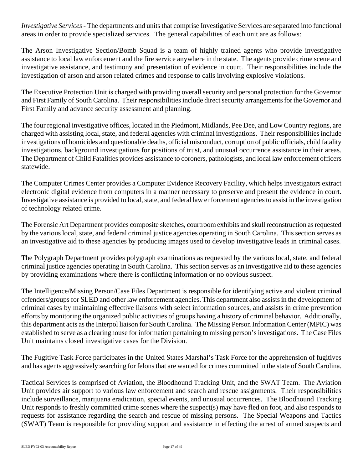*Investigative Services* - The departments and units that comprise Investigative Services are separated into functional areas in order to provide specialized services. The general capabilities of each unit are as follows:

The Arson Investigative Section/Bomb Squad is a team of highly trained agents who provide investigative assistance to local law enforcement and the fire service anywhere in the state. The agents provide crime scene and investigative assistance, and testimony and presentation of evidence in court. Their responsibilities include the investigation of arson and arson related crimes and response to calls involving explosive violations.

The Executive Protection Unit is charged with providing overall security and personal protection for the Governor and First Family of South Carolina. Their responsibilities include direct security arrangements for the Governor and First Family and advance security assessment and planning.

The four regional investigative offices, located in the Piedmont, Midlands, Pee Dee, and Low Country regions, are charged with assisting local, state, and federal agencies with criminal investigations. Their responsibilities include investigations of homicides and questionable deaths, official misconduct, corruption of public officials, child fatality investigations, background investigations for positions of trust, and unusual occurrence assistance in their areas. The Department of Child Fatalities provides assistance to coroners, pathologists, and local law enforcement officers statewide.

The Computer Crimes Center provides a Computer Evidence Recovery Facility, which helps investigators extract electronic digital evidence from computers in a manner necessary to preserve and present the evidence in court. Investigative assistance is provided to local, state, and federal law enforcement agencies to assist in the investigation of technology related crime.

The Forensic Art Department provides composite sketches, courtroom exhibits and skull reconstruction as requested by the various local, state, and federal criminal justice agencies operating in South Carolina. This section serves as an investigative aid to these agencies by producing images used to develop investigative leads in criminal cases.

The Polygraph Department provides polygraph examinations as requested by the various local, state, and federal criminal justice agencies operating in South Carolina. This section serves as an investigative aid to these agencies by providing examinations where there is conflicting information or no obvious suspect.

The Intelligence/Missing Person/Case Files Department is responsible for identifying active and violent criminal offenders/groups for SLED and other law enforcement agencies. This department also assists in the development of criminal cases by maintaining effective liaisons with select information sources, and assists in crime prevention efforts by monitoring the organized public activities of groups having a history of criminal behavior. Additionally, this department acts as the Interpol liaison for South Carolina. The Missing Person Information Center (MPIC) was established to serve as a clearinghouse for information pertaining to missing person's investigations. The Case Files Unit maintains closed investigative cases for the Division.

The Fugitive Task Force participates in the United States Marshal's Task Force for the apprehension of fugitives and has agents aggressively searching for felons that are wanted for crimes committed in the state of South Carolina.

Tactical Services is comprised of Aviation, the Bloodhound Tracking Unit, and the SWAT Team. The Aviation Unit provides air support to various law enforcement and search and rescue assignments. Their responsibilities include surveillance, marijuana eradication, special events, and unusual occurrences. The Bloodhound Tracking Unit responds to freshly committed crime scenes where the suspect(s) may have fled on foot, and also responds to requests for assistance regarding the search and rescue of missing persons. The Special Weapons and Tactics (SWAT) Team is responsible for providing support and assistance in effecting the arrest of armed suspects and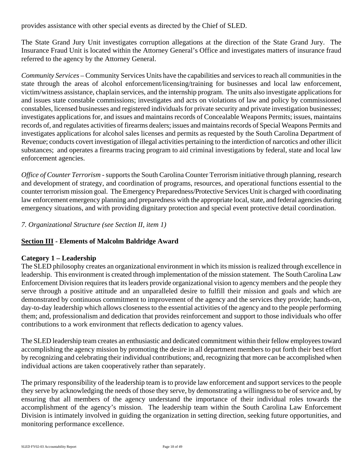provides assistance with other special events as directed by the Chief of SLED.

The State Grand Jury Unit investigates corruption allegations at the direction of the State Grand Jury. The Insurance Fraud Unit is located within the Attorney General's Office and investigates matters of insurance fraud referred to the agency by the Attorney General.

*Community Services* – Community Services Units have the capabilities and services to reach all communities in the state through the areas of alcohol enforcement/licensing/training for businesses and local law enforcement, victim/witness assistance, chaplain services, and the internship program. The units also investigate applications for and issues state constable commissions; investigates and acts on violations of law and policy by commissioned constables, licensed businesses and registered individuals for private security and private investigation businesses; investigates applications for, and issues and maintains records of Concealable Weapons Permits; issues, maintains records of, and regulates activities of firearms dealers; issues and maintains records of Special Weapons Permits and investigates applications for alcohol sales licenses and permits as requested by the South Carolina Department of Revenue; conducts covert investigation of illegal activities pertaining to the interdiction of narcotics and other illicit substances; and operates a firearms tracing program to aid criminal investigations by federal, state and local law enforcement agencies.

*Office of Counter Terrorism -* supports the South Carolina Counter Terrorism initiative through planning, research and development of strategy, and coordination of programs, resources, and operational functions essential to the counter terrorism mission goal. The Emergency Preparedness/Protective Services Unit is charged with coordinating law enforcement emergency planning and preparedness with the appropriate local, state, and federal agencies during emergency situations, and with providing dignitary protection and special event protective detail coordination.

*7. Organizational Structure (see Section II, item 1)*

# **Section III - Elements of Malcolm Baldridge Award**

#### **Category 1 – Leadership**

The SLED philosophy creates an organizational environment in which its mission is realized through excellence in leadership. This environment is created through implementation of the mission statement. The South Carolina Law Enforcement Division requires that its leaders provide organizational vision to agency members and the people they serve through a positive attitude and an unparalleled desire to fulfill their mission and goals and which are demonstrated by continuous commitment to improvement of the agency and the services they provide; hands-on, day-to-day leadership which allows closeness to the essential activities of the agency and to the people performing them; and, professionalism and dedication that provides reinforcement and support to those individuals who offer contributions to a work environment that reflects dedication to agency values.

The SLED leadership team creates an enthusiastic and dedicated commitment within their fellow employees toward accomplishing the agency mission by promoting the desire in all department members to put forth their best effort by recognizing and celebrating their individual contributions; and, recognizing that more can be accomplished when individual actions are taken cooperatively rather than separately.

The primary responsibility of the leadership team is to provide law enforcement and support services to the people they serve by acknowledging the needs of those they serve, by demonstrating a willingness to be of service and, by ensuring that all members of the agency understand the importance of their individual roles towards the accomplishment of the agency's mission. The leadership team within the South Carolina Law Enforcement Division is intimately involved in guiding the organization in setting direction, seeking future opportunities, and monitoring performance excellence.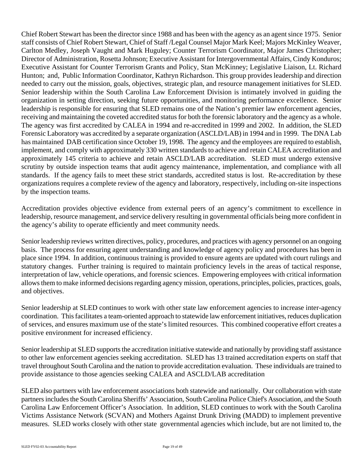Chief Robert Stewart has been the director since 1988 and has been with the agency as an agent since 1975. Senior staff consists of Chief Robert Stewart, Chief of Staff /Legal Counsel Major Mark Keel; Majors McKinley Weaver, Carlton Medley, Joseph Vaught and Mark Huguley; Counter Terrorism Coordinator, Major James Christopher; Director of Administration, Rosetta Johnson; Executive Assistant for Intergovernmental Affairs, Cindy Konduros; Executive Assistant for Counter Terrorism Grants and Policy, Stan McKinney; Legislative Liaison, Lt. Richard Hunton; and, Public Information Coordinator, Kathryn Richardson. This group provides leadership and direction needed to carry out the mission, goals, objectives, strategic plan, and resource management initiatives for SLED. Senior leadership within the South Carolina Law Enforcement Division is intimately involved in guiding the organization in setting direction, seeking future opportunities, and monitoring performance excellence. Senior leadership is responsible for ensuring that SLED remains one of the Nation's premier law enforcement agencies, receiving and maintaining the coveted accredited status for both the forensic laboratory and the agency as a whole. The agency was first accredited by CALEA in 1994 and re-accredited in 1999 and 2002. In addition, the SLED Forensic Laboratory was accredited by a separate organization (ASCLD/LAB) in 1994 and in 1999. The DNA Lab has maintained DAB certification since October 19, 1998. The agency and the employees are required to establish, implement, and comply with approximately 330 written standards to achieve and retain CALEA accreditation and approximately 145 criteria to achieve and retain ASCLD/LAB accreditation. SLED must undergo extensive scrutiny by outside inspection teams that audit agency maintenance, implementation, and compliance with all standards. If the agency fails to meet these strict standards, accredited status is lost. Re-accreditation by these organizations requires a complete review of the agency and laboratory, respectively, including on-site inspections by the inspection teams.

Accreditation provides objective evidence from external peers of an agency's commitment to excellence in leadership, resource management, and service delivery resulting in governmental officials being more confident in the agency's ability to operate efficiently and meet community needs.

Senior leadership reviews written directives, policy, procedures, and practices with agency personnel on an ongoing basis. The process for ensuring agent understanding and knowledge of agency policy and procedures has been in place since 1994. In addition, continuous training is provided to ensure agents are updated with court rulings and statutory changes. Further training is required to maintain proficiency levels in the areas of tactical response, interpretation of law, vehicle operations, and forensic sciences. Empowering employees with critical information allows them to make informed decisions regarding agency mission, operations, principles, policies, practices, goals, and objectives.

Senior leadership at SLED continues to work with other state law enforcement agencies to increase inter-agency coordination. This facilitates a team-oriented approach to statewide law enforcement initiatives, reduces duplication of services, and ensures maximum use of the state's limited resources. This combined cooperative effort creates a positive environment for increased efficiency.

Senior leadership at SLED supports the accreditation initiative statewide and nationally by providing staff assistance to other law enforcement agencies seeking accreditation. SLED has 13 trained accreditation experts on staff that travel throughout South Carolina and the nation to provide accreditation evaluation. These individuals are trained to provide assistance to those agencies seeking CALEA and ASCLD/LAB accreditation

SLED also partners with law enforcement associations both statewide and nationally. Our collaboration with state partners includes the South Carolina Sheriffs' Association, South Carolina Police Chief's Association, and the South Carolina Law Enforcement Officer's Association. In addition, SLED continues to work with the South Carolina Victims Assistance Network (SCVAN) and Mothers Against Drunk Driving (MADD) to implement preventive measures. SLED works closely with other state governmental agencies which include, but are not limited to, the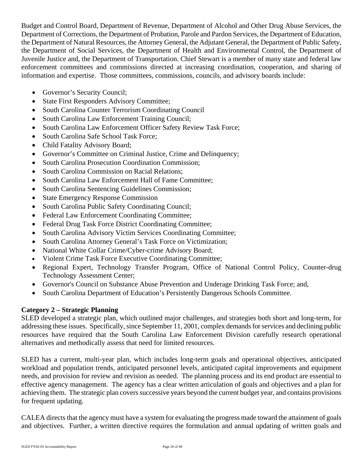Budget and Control Board, Department of Revenue, Department of Alcohol and Other Drug Abuse Services, the Department of Corrections, the Department of Probation, Parole and Pardon Services, the Department of Education, the Department of Natural Resources, the Attorney General, the Adjutant General, the Department of Public Safety, the Department of Social Services, the Department of Health and Environmental Control, the Department of Juvenile Justice and, the Department of Transportation. Chief Stewart is a member of many state and federal law enforcement committees and commissions directed at increasing coordination, cooperation, and sharing of information and expertise. Those committees, commissions, councils, and advisory boards include:

- Governor's Security Council;
- State First Responders Advisory Committee;
- South Carolina Counter Terrorism Coordinating Council
- South Carolina Law Enforcement Training Council;
- South Carolina Law Enforcement Officer Safety Review Task Force;
- South Carolina Safe School Task Force;
- Child Fatality Advisory Board;
- Governor's Committee on Criminal Justice, Crime and Delinquency;
- South Carolina Prosecution Coordination Commission;
- South Carolina Commission on Racial Relations:
- South Carolina Law Enforcement Hall of Fame Committee:
- South Carolina Sentencing Guidelines Commission;
- State Emergency Response Commission
- South Carolina Public Safety Coordinating Council;
- Federal Law Enforcement Coordinating Committee;
- Federal Drug Task Force District Coordinating Committee;
- South Carolina Advisory Victim Services Coordinating Committee;
- South Carolina Attorney General's Task Force on Victimization;
- National White Collar Crime/Cyber-crime Advisory Board;
- Violent Crime Task Force Executive Coordinating Committee;
- Regional Expert, Technology Transfer Program, Office of National Control Policy, Counter-drug Technology Assessment Center;
- Governor's Council on Substance Abuse Prevention and Underage Drinking Task Force; and,
- South Carolina Department of Education's Persistently Dangerous Schools Committee.

# **Category 2 – Strategic Planning**

SLED developed a strategic plan, which outlined major challenges, and strategies both short and long-term, for addressing these issues. Specifically, since September 11, 2001, complex demands for services and declining public resources have required that the South Carolina Law Enforcement Division carefully research operational alternatives and methodically assess that need for limited resources.

SLED has a current, multi-year plan, which includes long-term goals and operational objectives, anticipated workload and population trends, anticipated personnel levels, anticipated capital improvements and equipment needs, and provision for review and revision as needed. The planning process and its end product are essential to effective agency management. The agency has a clear written articulation of goals and objectives and a plan for achieving them. The strategic plan covers successive years beyond the current budget year, and contains provisions for frequent updating.

CALEA directs that the agency must have a system for evaluating the progress made toward the attainment of goals and objectives. Further, a written directive requires the formulation and annual updating of written goals and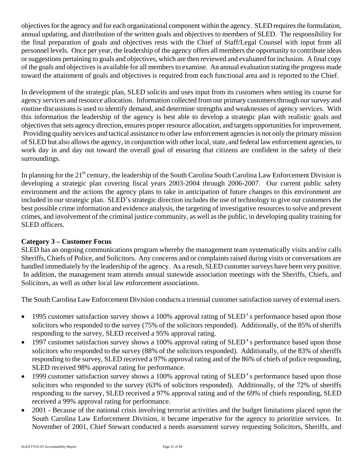objectives for the agency and for each organizational component within the agency. SLED requires the formulation, annual updating, and distribution of the written goals and objectives to members of SLED. The responsibility for the final preparation of goals and objectives rests with the Chief of Staff/Legal Counsel with input from all personnel levels. Once per year, the leadership of the agency offers all members the opportunity to contribute ideas or suggestions pertaining to goals and objectives, which are then reviewed and evaluated for inclusion. A final copy of the goals and objectives is available for all members to examine. An annual evaluation stating the progress made toward the attainment of goals and objectives is required from each functional area and is reported to the Chief.

In development of the strategic plan, SLED solicits and uses input from its customers when setting its course for agency services and resource allocation. Information collected from our primary customers through our survey and routine discussions is used to identify demand, and determine strengths and weaknesses of agency services. With this information the leadership of the agency is best able to develop a strategic plan with realistic goals and objectives that sets agency direction, ensures proper resource allocation, and targets opportunities for improvement. Providing quality services and tactical assistance to other law enforcement agencies is not only the primary mission of SLED but also allows the agency, in conjunction with other local, state, and federal law enforcement agencies, to work day in and day out toward the overall goal of ensuring that citizens are confident in the safety of their surroundings.

In planning for the 21<sup>st</sup> century, the leadership of the South Carolina South Carolina Law Enforcement Division is developing a strategic plan covering fiscal years 2003-2004 through 2006-2007. Our current public safety environment and the actions the agency plans to take in anticipation of future changes to this environment are included in our strategic plan. SLED's strategic direction includes the use of technology to give our customers the best possible crime information and evidence analysis, the targeting of investigative resources to solve and prevent crimes, and involvement of the criminal justice community, as well as the public, in developing quality training for SLED officers.

# **Category 3 – Customer Focus**

SLED has an ongoing communications program whereby the management team systematically visits and/or calls Sheriffs, Chiefs of Police, and Solicitors. Any concerns and or complaints raised during visits or conversations are handled immediately by the leadership of the agency. As a result, SLED customer surveys have been very positive. In addition, the management team attends annual statewide association meetings with the Sheriffs, Chiefs, and Solicitors, as well as other local law enforcement associations.

The South Carolina Law Enforcement Division conducts a triennial customer satisfaction survey of external users.

- 1995 customer satisfaction survey shows a 100% approval rating of SLED's performance based upon those solicitors who responded to the survey (75% of the solicitors responded). Additionally, of the 85% of sheriffs responding to the survey, SLED received a 95% approval rating.
- 1997 customer satisfaction survey shows a 100% approval rating of SLED's performance based upon those solicitors who responded to the survey (88% of the solicitors responded). Additionally, of the 83% of sheriffs responding to the survey, SLED received a 97% approval rating and of the 86% of chiefs of police responding, SLED received 98% approval rating for performance.
- 1999 customer satisfaction survey shows a 100% approval rating of SLED's performance based upon those solicitors who responded to the survey (63% of solicitors responded). Additionally, of the 72% of sheriffs responding to the survey, SLED received a 97% approval rating and of the 69% of chiefs responding, SLED received a 99% approval rating for performance.
- 2001 Because of the national crisis involving terrorist activities and the budget limitations placed upon the South Carolina Law Enforcement Division, it became imperative for the agency to prioritize services. In November of 2001, Chief Stewart conducted a needs assessment survey requesting Solicitors, Sheriffs, and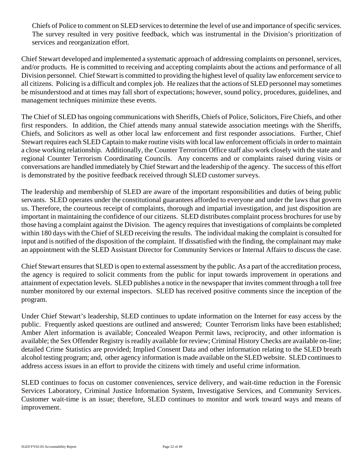Chiefs of Police to comment on SLED services to determine the level of use and importance of specific services. The survey resulted in very positive feedback, which was instrumental in the Division's prioritization of services and reorganization effort.

Chief Stewart developed and implemented a systematic approach of addressing complaints on personnel, services, and/or products. He is committed to receiving and accepting complaints about the actions and performance of all Division personnel. Chief Stewart is committed to providing the highest level of quality law enforcement service to all citizens. Policing is a difficult and complex job. He realizes that the actions of SLED personnel may sometimes be misunderstood and at times may fall short of expectations; however, sound policy, procedures, guidelines, and management techniques minimize these events.

The Chief of SLED has ongoing communications with Sheriffs, Chiefs of Police, Solicitors, Fire Chiefs, and other first responders. In addition, the Chief attends many annual statewide association meetings with the Sheriffs, Chiefs, and Solicitors as well as other local law enforcement and first responder associations. Further, Chief Stewart requires each SLED Captain to make routine visits with local law enforcement officials in order to maintain a close working relationship. Additionally, the Counter Terrorism Office staff also work closely with the state and regional Counter Terrorism Coordinating Councils. Any concerns and or complaints raised during visits or conversations are handled immediately by Chief Stewart and the leadership of the agency. The success of this effort is demonstrated by the positive feedback received through SLED customer surveys.

The leadership and membership of SLED are aware of the important responsibilities and duties of being public servants. SLED operates under the constitutional guarantees afforded to everyone and under the laws that govern us. Therefore, the courteous receipt of complaints, thorough and impartial investigation, and just disposition are important in maintaining the confidence of our citizens. SLED distributes complaint process brochures for use by those having a complaint against the Division. The agency requires that investigations of complaints be completed within 180 days with the Chief of SLED receiving the results. The individual making the complaint is consulted for input and is notified of the disposition of the complaint. If dissatisfied with the finding, the complainant may make an appointment with the SLED Assistant Director for Community Services or Internal Affairs to discuss the case.

Chief Stewart ensures that SLED is open to external assessment by the public. As a part of the accreditation process, the agency is required to solicit comments from the public for input towards improvement in operations and attainment of expectation levels. SLED publishes a notice in the newspaper that invites comment through a toll free number monitored by our external inspectors. SLED has received positive comments since the inception of the program.

Under Chief Stewart's leadership, SLED continues to update information on the Internet for easy access by the public. Frequently asked questions are outlined and answered; Counter Terrorism links have been established; Amber Alert information is available; Concealed Weapon Permit laws, reciprocity, and other information is available; the Sex Offender Registry is readily available for review; Criminal History Checks are available on-line; detailed Crime Statistics are provided; Implied Consent Data and other information relating to the SLED breath alcohol testing program; and, other agency information is made available on the SLED website. SLED continues to address access issues in an effort to provide the citizens with timely and useful crime information.

SLED continues to focus on customer conveniences, service delivery, and wait-time reduction in the Forensic Services Laboratory, Criminal Justice Information System, Investigative Services, and Community Services. Customer wait-time is an issue; therefore, SLED continues to monitor and work toward ways and means of improvement.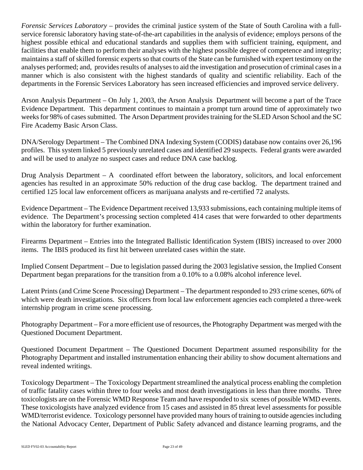*Forensic Services Laboratory* – provides the criminal justice system of the State of South Carolina with a fullservice forensic laboratory having state-of-the-art capabilities in the analysis of evidence; employs persons of the highest possible ethical and educational standards and supplies them with sufficient training, equipment, and facilities that enable them to perform their analyses with the highest possible degree of competence and integrity; maintains a staff of skilled forensic experts so that courts of the State can be furnished with expert testimony on the analyses performed; and, provides results of analyses to aid the investigation and prosecution of criminal cases in a manner which is also consistent with the highest standards of quality and scientific reliability. Each of the departments in the Forensic Services Laboratory has seen increased efficiencies and improved service delivery.

Arson Analysis Department – On July 1, 2003, the Arson Analysis Department will become a part of the Trace Evidence Department. This department continues to maintain a prompt turn around time of approximately two weeks for 98% of cases submitted. The Arson Department provides training for the SLED Arson School and the SC Fire Academy Basic Arson Class.

DNA/Serology Department – The Combined DNA Indexing System (CODIS) database now contains over 26,196 profiles. This system linked 5 previously unrelated cases and identified 29 suspects. Federal grants were awarded and will be used to analyze no suspect cases and reduce DNA case backlog.

Drug Analysis Department – A coordinated effort between the laboratory, solicitors, and local enforcement agencies has resulted in an approximate 50% reduction of the drug case backlog. The department trained and certified 125 local law enforcement officers as marijuana analysts and re-certified 72 analysts.

Evidence Department – The Evidence Department received 13,933 submissions, each containing multiple items of evidence. The Department's processing section completed 414 cases that were forwarded to other departments within the laboratory for further examination.

Firearms Department – Entries into the Integrated Ballistic Identification System (IBIS) increased to over 2000 items. The IBIS produced its first hit between unrelated cases within the state.

Implied Consent Department – Due to legislation passed during the 2003 legislative session, the Implied Consent Department began preparations for the transition from a 0.10% to a 0.08% alcohol inference level.

Latent Prints (and Crime Scene Processing) Department – The department responded to 293 crime scenes, 60% of which were death investigations. Six officers from local law enforcement agencies each completed a three-week internship program in crime scene processing.

Photography Department – For a more efficient use of resources, the Photography Department was merged with the Questioned Document Department.

Questioned Document Department – The Questioned Document Department assumed responsibility for the Photography Department and installed instrumentation enhancing their ability to show document alternations and reveal indented writings.

Toxicology Department – The Toxicology Department streamlined the analytical process enabling the completion of traffic fatality cases within three to four weeks and most death investigations in less than three months. Three toxicologists are on the Forensic WMD Response Team and have responded to six scenes of possible WMD events. These toxicologists have analyzed evidence from 15 cases and assisted in 85 threat level assessments for possible WMD/terrorist evidence. Toxicology personnel have provided many hours of training to outside agencies including the National Advocacy Center, Department of Public Safety advanced and distance learning programs, and the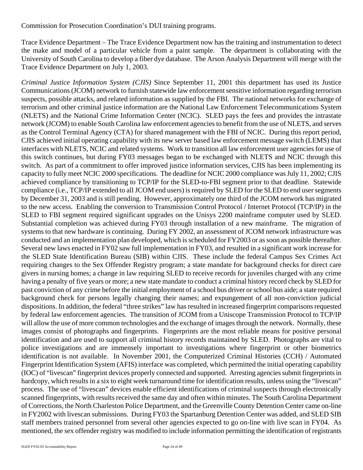Commission for Prosecution Coordination's DUI training programs.

Trace Evidence Department – The Trace Evidence Department now has the training and instrumentation to detect the make and model of a particular vehicle from a paint sample. The department is collaborating with the University of South Carolina to develop a fiber dye database. The Arson Analysis Department will merge with the Trace Evidence Department on July 1, 2003.

*Criminal Justice Information System (CJIS)* Since September 11, 2001 this department has used its Justice Communications (JCOM) network to furnish statewide law enforcement sensitive information regarding terrorism suspects, possible attacks, and related information as supplied by the FBI. The national networks for exchange of terrorism and other criminal justice information are the National Law Enforcement Telecommunications System (NLETS) and the National Crime Information Center (NCIC). SLED pays the fees and provides the intrastate network (JCOM) to enable South Carolina law enforcement agencies to benefit from the use of NLETS, and serves as the Control Terminal Agency (CTA) for shared management with the FBI of NCIC. During this report period, CJIS achieved initial operating capability with its new server based law enforcement message switch (LEMS) that interfaces with NLETS, NCIC and related systems. Work to transition all law enforcement user agencies for use of this switch continues, but during FY03 messages began to be exchanged with NLETS and NCIC through this switch. As part of a commitment to offer improved justice information services, CJIS has been implementing its capacity to fully meet NCIC 2000 specifications. The deadline for NCIC 2000 compliance was July 11, 2002; CJIS achieved compliance by transitioning to TCP/IP for the SLED-to-FBI segment prior to that deadline. Statewide compliance (i.e., TCP/IP extended to all JCOM end users) is required by SLED for the SLED to end user segments by December 31, 2003 and is still pending. However, approximately one third of the JCOM network has migrated to the new access. Enabling the conversion to Transmission Control Protocol / Internet Protocol (TCP/IP) in the SLED to FBI segment required significant upgrades on the Unisys 2200 mainframe computer used by SLED. Substantial completion was achieved during FY03 through installation of a new mainframe. The migration of systems to that new hardware is continuing. During FY 2002, an assessment of JCOM network infrastructure was conducted and an implementation plan developed, which is scheduled for FY2003 or as soon as possible thereafter. Several new laws enacted in FY02 saw full implementation in FY03, and resulted in a significant work increase for the SLED State Identification Bureau (SIB) within CJIS. These include the federal Campus Sex Crimes Act requiring changes to the Sex Offender Registry program; a state mandate for background checks for direct care givers in nursing homes; a change in law requiring SLED to receive records for juveniles charged with any crime having a penalty of five years or more; a new state mandate to conduct a criminal history record check by SLED for past conviction of any crime before the initial employment of a school bus driver or school bus aide; a state required background check for persons legally changing their names; and expungement of all non-conviction judicial dispositions. In addition, the federal "three strikes" law has resulted in increased fingerprint comparisons requested by federal law enforcement agencies. The transition of JCOM from a Uniscope Transmission Protocol to TCP/IP will allow the use of more common technologies and the exchange of images through the network. Normally, these images consist of photographs and fingerprints. Fingerprints are the most reliable means for positive personal identification and are used to support all criminal history records maintained by SLED. Photographs are vital to police investigations and are immensely important to investigations where fingerprint or other biometrics identification is not available. In November 2001, the Computerized Criminal Histories (CCH) / Automated Fingerprint Identification System (AFIS) interface was completed, which permitted the initial operating capability (IOC) of "livescan" fingerprint devices properly connected and supported. Arresting agencies submit fingerprints in hardcopy, which results in a six to eight week turnaround time for identification results, unless using the "livescan" process. The use of "livescan" devices enable efficient identifications of criminal suspects through electronically scanned fingerprints, with results received the same day and often within minutes. The South Carolina Department of Corrections, the North Charleston Police Department, and the Greenville County Detention Center came on-line in FY2002 with livescan submissions. During FY03 the Spartanburg Detention Center was added, and SLED SIB staff members trained personnel from several other agencies expected to go on-line with live scan in FY04. As mentioned, the sex offender registry was modified to include information permitting the identification of registrants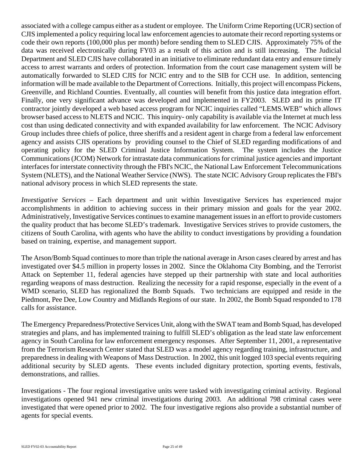associated with a college campus either as a student or employee. The Uniform Crime Reporting (UCR) section of CJIS implemented a policy requiring local law enforcement agencies to automate their record reporting systems or code their own reports (100,000 plus per month) before sending them to SLED CJIS. Approximately 75% of the data was received electronically during FY03 as a result of this action and is still increasing. The Judicial Department and SLED CJIS have collaborated in an initiative to eliminate redundant data entry and ensure timely access to arrest warrants and orders of protection. Information from the court case management system will be automatically forwarded to SLED CJIS for NCIC entry and to the SIB for CCH use. In addition, sentencing information will be made available to the Department of Corrections. Initially, this project will encompass Pickens, Greenville, and Richland Counties. Eventually, all counties will benefit from this justice data integration effort. Finally, one very significant advance was developed and implemented in FY2003. SLED and its prime IT contractor jointly developed a web based access program for NCIC inquiries called "LEMS.WEB" which allows browser based access to NLETS and NCIC. This inquiry- only capability is available via the Internet at much less cost than using dedicated connectivity and with expanded availability for law enforcement. The NCIC Advisory Group includes three chiefs of police, three sheriffs and a resident agent in charge from a federal law enforcement agency and assists CJIS operations by providing counsel to the Chief of SLED regarding modifications of and operating policy for the SLED Criminal Justice Information System. The system includes the Justice Communications (JCOM) Network for intrastate data communications for criminal justice agencies and important interfaces for interstate connectivity through the FBI's NCIC, the National Law Enforcement Telecommunications System (NLETS), and the National Weather Service (NWS). The state NCIC Advisory Group replicates the FBI's national advisory process in which SLED represents the state.

*Investigative Services* – Each department and unit within Investigative Services has experienced major accomplishments in addition to achieving success in their primary mission and goals for the year 2002. Administratively, Investigative Services continues to examine management issues in an effort to provide customers the quality product that has become SLED's trademark. Investigative Services strives to provide customers, the citizens of South Carolina, with agents who have the ability to conduct investigations by providing a foundation based on training, expertise, and management support.

The Arson/Bomb Squad continues to more than triple the national average in Arson cases cleared by arrest and has investigated over \$4.5 million in property losses in 2002. Since the Oklahoma City Bombing, and the Terrorist Attack on September 11, federal agencies have stepped up their partnership with state and local authorities regarding weapons of mass destruction. Realizing the necessity for a rapid response, especially in the event of a WMD scenario, SLED has regionalized the Bomb Squads. Two technicians are equipped and reside in the Piedmont, Pee Dee, Low Country and Midlands Regions of our state. In 2002, the Bomb Squad responded to 178 calls for assistance.

The Emergency Preparedness/Protective Services Unit, along with the SWAT team and Bomb Squad, has developed strategies and plans, and has implemented training to fulfill SLED's obligation as the lead state law enforcement agency in South Carolina for law enforcement emergency responses. After September 11, 2001, a representative from the Terrorism Research Center stated that SLED was a model agency regarding training, infrastructure, and preparedness in dealing with Weapons of Mass Destruction. In 2002, this unit logged 103 special events requiring additional security by SLED agents. These events included dignitary protection, sporting events, festivals, demonstrations, and rallies.

Investigations - The four regional investigative units were tasked with investigating criminal activity. Regional investigations opened 941 new criminal investigations during 2003. An additional 798 criminal cases were investigated that were opened prior to 2002. The four investigative regions also provide a substantial number of agents for special events.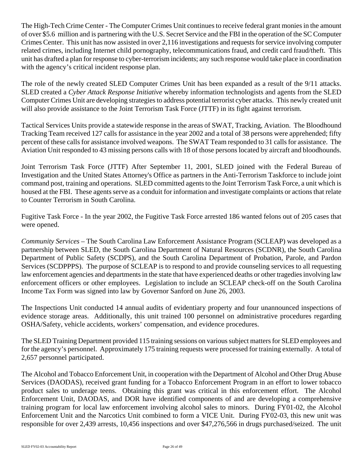The High-Tech Crime Center - The Computer Crimes Unit continues to receive federal grant monies in the amount of over \$5.6 million and is partnering with the U.S. Secret Service and the FBI in the operation of the SC Computer Crimes Center. This unit has now assisted in over 2,116 investigations and requests for service involving computer related crimes, including Internet child pornography, telecommunications fraud, and credit card fraud/theft. This unit has drafted a plan for response to cyber-terrorism incidents; any such response would take place in coordination with the agency's critical incident response plan.

The role of the newly created SLED Computer Crimes Unit has been expanded as a result of the 9/11 attacks. SLED created a *Cyber Attack Response Initiative* whereby information technologists and agents from the SLED Computer Crimes Unit are developing strategies to address potential terrorist cyber attacks. This newly created unit will also provide assistance to the Joint Terrorism Task Force (JTTF) in its fight against terrorism.

Tactical Services Units provide a statewide response in the areas of SWAT, Tracking, Aviation. The Bloodhound Tracking Team received 127 calls for assistance in the year 2002 and a total of 38 persons were apprehended; fifty percent of these calls for assistance involved weapons. The SWAT Team responded to 31 calls for assistance. The Aviation Unit responded to 43 missing persons calls with 18 of those persons located by aircraft and bloodhounds.

Joint Terrorism Task Force (JTTF) After September 11, 2001, SLED joined with the Federal Bureau of Investigation and the United States Attorney's Office as partners in the Anti-Terrorism Taskforce to include joint command post, training and operations. SLED committed agents to the Joint Terrorism Task Force, a unit which is housed at the FBI. These agents serve as a conduit for information and investigate complaints or actions that relate to Counter Terrorism in South Carolina.

Fugitive Task Force - In the year 2002, the Fugitive Task Force arrested 186 wanted felons out of 205 cases that were opened.

*Community Services –* The South Carolina Law Enforcement Assistance Program (SCLEAP) was developed as a partnership between SLED, the South Carolina Department of Natural Resources (SCDNR), the South Carolina Department of Public Safety (SCDPS), and the South Carolina Department of Probation, Parole, and Pardon Services (SCDPPPS). The purpose of SCLEAP is to respond to and provide counseling services to all requesting law enforcement agencies and departments in the state that have experienced deaths or other tragedies involving law enforcement officers or other employees. Legislation to include an SCLEAP check-off on the South Carolina Income Tax Form was signed into law by Governor Sanford on June 26, 2003.

The Inspections Unit conducted 14 annual audits of evidentiary property and four unannounced inspections of evidence storage areas. Additionally, this unit trained 100 personnel on administrative procedures regarding OSHA/Safety, vehicle accidents, workers' compensation, and evidence procedures.

The SLED Training Department provided 115 training sessions on various subject matters for SLED employees and for the agency's personnel. Approximately 175 training requests were processed for training externally. A total of 2,657 personnel participated.

The Alcohol and Tobacco Enforcement Unit, in cooperation with the Department of Alcohol and Other Drug Abuse Services (DAODAS), received grant funding for a Tobacco Enforcement Program in an effort to lower tobacco product sales to underage teens. Obtaining this grant was critical in this enforcement effort. The Alcohol Enforcement Unit, DAODAS, and DOR have identified components of and are developing a comprehensive training program for local law enforcement involving alcohol sales to minors. During FY01-02, the Alcohol Enforcement Unit and the Narcotics Unit combined to form a VICE Unit. During FY02-03, this new unit was responsible for over 2,439 arrests, 10,456 inspections and over \$47,276,566 in drugs purchased/seized. The unit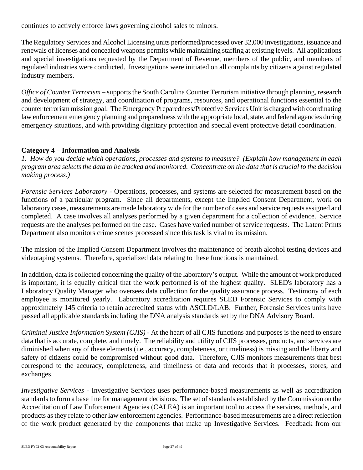continues to actively enforce laws governing alcohol sales to minors.

The Regulatory Services and Alcohol Licensing units performed/processed over 32,000 investigations, issuance and renewals of licenses and concealed weapons permits while maintaining staffing at existing levels. All applications and special investigations requested by the Department of Revenue, members of the public, and members of regulated industries were conducted. Investigations were initiated on all complaints by citizens against regulated industry members.

*Office of Counter Terrorism* – supports the South Carolina Counter Terrorism initiative through planning, research and development of strategy, and coordination of programs, resources, and operational functions essential to the counter terrorism mission goal. The Emergency Preparedness/Protective Services Unit is charged with coordinating law enforcement emergency planning and preparedness with the appropriate local, state, and federal agencies during emergency situations, and with providing dignitary protection and special event protective detail coordination.

# **Category 4 – Information and Analysis**

*1. How do you decide which operations, processes and systems to measure? (Explain how management in each program area selects the data to be tracked and monitored. Concentrate on the data that is crucial to the decision making process.)*

*Forensic Services Laboratory -* Operations, processes, and systems are selected for measurement based on the functions of a particular program. Since all departments, except the Implied Consent Department, work on laboratory cases, measurements are made laboratory wide for the number of cases and service requests assigned and completed. A case involves all analyses performed by a given department for a collection of evidence. Service requests are the analyses performed on the case. Cases have varied number of service requests. The Latent Prints Department also monitors crime scenes processed since this task is vital to its mission.

The mission of the Implied Consent Department involves the maintenance of breath alcohol testing devices and videotaping systems. Therefore, specialized data relating to these functions is maintained.

In addition, data is collected concerning the quality of the laboratory's output. While the amount of work produced is important, it is equally critical that the work performed is of the highest quality. SLED's laboratory has a Laboratory Quality Manager who oversees data collection for the quality assurance process. Testimony of each employee is monitored yearly. Laboratory accreditation requires SLED Forensic Services to comply with approximately 145 criteria to retain accredited status with ASCLD/LAB. Further, Forensic Services units have passed all applicable standards including the DNA analysis standards set by the DNA Advisory Board.

*Criminal Justice Information System (CJIS) -* At the heart of all CJIS functions and purposes is the need to ensure data that is accurate, complete, and timely. The reliability and utility of CJIS processes, products, and services are diminished when any of these elements (i.e., accuracy, completeness, or timeliness) is missing and the liberty and safety of citizens could be compromised without good data. Therefore, CJIS monitors measurements that best correspond to the accuracy, completeness, and timeliness of data and records that it processes, stores, and exchanges.

*Investigative Services* - Investigative Services uses performance-based measurements as well as accreditation standards to form a base line for management decisions. The set of standards established by the Commission on the Accreditation of Law Enforcement Agencies (CALEA) is an important tool to access the services, methods, and products as they relate to other law enforcement agencies. Performance-based measurements are a direct reflection of the work product generated by the components that make up Investigative Services. Feedback from our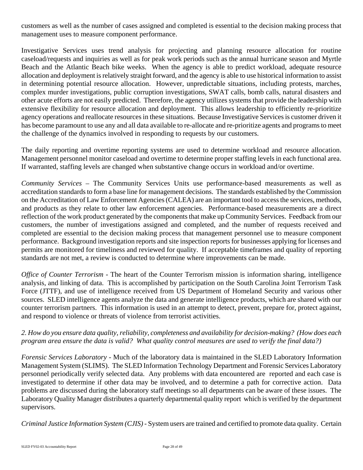customers as well as the number of cases assigned and completed is essential to the decision making process that management uses to measure component performance.

Investigative Services uses trend analysis for projecting and planning resource allocation for routine caseload/requests and inquiries as well as for peak work periods such as the annual hurricane season and Myrtle Beach and the Atlantic Beach bike weeks. When the agency is able to predict workload, adequate resource allocation and deployment is relatively straight forward, and the agency is able to use historical information to assist in determining potential resource allocation. However, unpredictable situations, including protests, marches, complex murder investigations, public corruption investigations, SWAT calls, bomb calls, natural disasters and other acute efforts are not easily predicted. Therefore, the agency utilizes systems that provide the leadership with extensive flexibility for resource allocation and deployment. This allows leadership to efficiently re-prioritize agency operations and reallocate resources in these situations. Because Investigative Services is customer driven it has become paramount to use any and all data available to re-allocate and re-prioritize agents and programs to meet the challenge of the dynamics involved in responding to requests by our customers.

The daily reporting and overtime reporting systems are used to determine workload and resource allocation. Management personnel monitor caseload and overtime to determine proper staffing levels in each functional area. If warranted, staffing levels are changed when substantive change occurs in workload and/or overtime.

*Community Services –* The Community Services Units use performance-based measurements as well as accreditation standards to form a base line for management decisions. The standards established by the Commission on the Accreditation of Law Enforcement Agencies (CALEA) are an important tool to access the services, methods, and products as they relate to other law enforcement agencies. Performance-based measurements are a direct reflection of the work product generated by the components that make up Community Services. Feedback from our customers, the number of investigations assigned and completed, and the number of requests received and completed are essential to the decision making process that management personnel use to measure component performance. Background investigation reports and site inspection reports for businesses applying for licenses and permits are monitored for timeliness and reviewed for quality. If acceptable timeframes and quality of reporting standards are not met, a review is conducted to determine where improvements can be made.

*Office of Counter Terrorism -* The heart of the Counter Terrorism mission is information sharing, intelligence analysis, and linking of data. This is accomplished by participation on the South Carolina Joint Terrorism Task Force (JTTF), and use of intelligence received from US Department of Homeland Security and various other sources. SLED intelligence agents analyze the data and generate intelligence products, which are shared with our counter terrorism partners. This information is used in an attempt to detect, prevent, prepare for, protect against, and respond to violence or threats of violence from terrorist activities.

# *2. How do you ensure data quality, reliability, completeness and availability for decision-making? (How does each program area ensure the data is valid? What quality control measures are used to verify the final data?)*

*Forensic Services Laboratory -* Much of the laboratory data is maintained in the SLED Laboratory Information Management System (SLIMS). The SLED Information Technology Department and Forensic Services Laboratory personnel periodically verify selected data. Any problems with data encountered are reported and each case is investigated to determine if other data may be involved, and to determine a path for corrective action. Data problems are discussed during the laboratory staff meetings so all departments can be aware of these issues. The Laboratory Quality Manager distributes a quarterly departmental quality report which is verified by the department supervisors.

*Criminal Justice Information System (CJIS) -* System users are trained and certified to promote data quality. Certain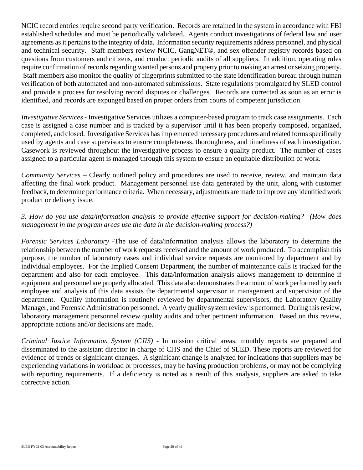NCIC record entries require second party verification. Records are retained in the system in accordance with FBI established schedules and must be periodically validated. Agents conduct investigations of federal law and user agreements as it pertains to the integrity of data. Information security requirements address personnel, and physical and technical security. Staff members review NCIC, GangNET®, and sex offender registry records based on questions from customers and citizens, and conduct periodic audits of all suppliers. In addition, operating rules require confirmation of records regarding wanted persons and property prior to making an arrest or seizing property. Staff members also monitor the quality of fingerprints submitted to the state identification bureau through human verification of both automated and non-automated submissions. State regulations promulgated by SLED control and provide a process for resolving record disputes or challenges. Records are corrected as soon as an error is identified, and records are expunged based on proper orders from courts of competent jurisdiction.

*Investigative Services* **-** Investigative Services utilizes a computer-based program to track case assignments. Each case is assigned a case number and is tracked by a supervisor until it has been properly composed, organized, completed, and closed. Investigative Services has implemented necessary procedures and related forms specifically used by agents and case supervisors to ensure completeness, thoroughness, and timeliness of each investigation. Casework is reviewed throughout the investigative process to ensure a quality product. The number of cases assigned to a particular agent is managed through this system to ensure an equitable distribution of work.

*Community Services –* Clearly outlined policy and procedures are used to receive, review, and maintain data affecting the final work product. Management personnel use data generated by the unit, along with customer feedback, to determine performance criteria. When necessary, adjustments are made to improve any identified work product or delivery issue.

# *3. How do you use data/information analysis to provide effective support for decision-making? (How does management in the program areas use the data in the decision-making process?)*

*Forensic Services Laboratory -*The use of data/information analysis allows the laboratory to determine the relationship between the number of work requests received and the amount of work produced. To accomplish this purpose, the number of laboratory cases and individual service requests are monitored by department and by individual employees. For the Implied Consent Department, the number of maintenance calls is tracked for the department and also for each employee. This data/information analysis allows management to determine if equipment and personnel are properly allocated. This data also demonstrates the amount of work performed by each employee and analysis of this data assists the departmental supervisor in management and supervision of the department. Quality information is routinely reviewed by departmental supervisors, the Laboratory Quality Manager, and Forensic Administration personnel. A yearly quality system review is performed. During this review, laboratory management personnel review quality audits and other pertinent information. Based on this review, appropriate actions and/or decisions are made.

*Criminal Justice Information System (CJIS) -* In mission critical areas, monthly reports are prepared and disseminated to the assistant director in charge of CJIS and the Chief of SLED. These reports are reviewed for evidence of trends or significant changes. A significant change is analyzed for indications that suppliers may be experiencing variations in workload or processes, may be having production problems, or may not be complying with reporting requirements. If a deficiency is noted as a result of this analysis, suppliers are asked to take corrective action.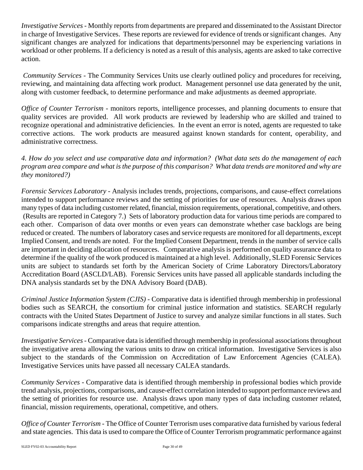*Investigative Services* - Monthly reports from departments are prepared and disseminated to the Assistant Director in charge of Investigative Services. These reports are reviewed for evidence of trends or significant changes. Any significant changes are analyzed for indications that departments/personnel may be experiencing variations in workload or other problems. If a deficiency is noted as a result of this analysis, agents are asked to take corrective action.

*Community Services -* The Community Services Units use clearly outlined policy and procedures for receiving, reviewing, and maintaining data affecting work product. Management personnel use data generated by the unit, along with customer feedback, to determine performance and make adjustments as deemed appropriate.

*Office of Counter Terrorism* - monitors reports, intelligence processes, and planning documents to ensure that quality services are provided. All work products are reviewed by leadership who are skilled and trained to recognize operational and administrative deficiencies. In the event an error is noted, agents are requested to take corrective actions. The work products are measured against known standards for content, operability, and administrative correctness.

*4. How do you select and use comparative data and information? (What data sets do the management of each program area compare and what is the purpose of this comparison? What data trends are monitored and why are they monitored?)*

*Forensic Services Laboratory -* Analysis includes trends, projections, comparisons, and cause-effect correlations intended to support performance reviews and the setting of priorities for use of resources. Analysis draws upon many types of data including customer related, financial, mission requirements, operational, competitive, and others. (Results are reported in Category 7.) Sets of laboratory production data for various time periods are compared to each other. Comparison of data over months or even years can demonstrate whether case backlogs are being reduced or created. The numbers of laboratory cases and service requests are monitored for all departments, except Implied Consent, and trends are noted. For the Implied Consent Department, trends in the number of service calls are important in deciding allocation of resources. Comparative analysis is performed on quality assurance data to determine if the quality of the work produced is maintained at a high level. Additionally, SLED Forensic Services units are subject to standards set forth by the American Society of Crime Laboratory Directors/Laboratory Accreditation Board (ASCLD/LAB). Forensic Services units have passed all applicable standards including the DNA analysis standards set by the DNA Advisory Board (DAB).

*Criminal Justice Information System (CJIS) -* Comparative data is identified through membership in professional bodies such as SEARCH, the consortium for criminal justice information and statistics. SEARCH regularly contracts with the United States Department of Justice to survey and analyze similar functions in all states. Such comparisons indicate strengths and areas that require attention.

*Investigative Services* - Comparative data is identified through membership in professional associations throughout the investigative arena allowing the various units to draw on critical information. Investigative Services is also subject to the standards of the Commission on Accreditation of Law Enforcement Agencies (CALEA). Investigative Services units have passed all necessary CALEA standards.

*Community Services -* Comparative data is identified through membership in professional bodies which provide trend analysis, projections, comparisons, and cause-effect correlation intended to support performance reviews and the setting of priorities for resource use. Analysis draws upon many types of data including customer related, financial, mission requirements, operational, competitive, and others.

*Office of Counter Terrorism -* The Office of Counter Terrorism uses comparative data furnished by various federal and state agencies. This data is used to compare the Office of Counter Terrorism programmatic performance against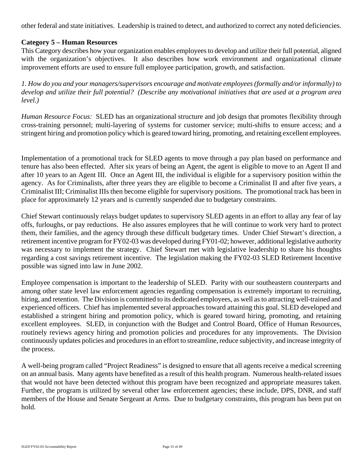other federal and state initiatives. Leadership is trained to detect, and authorized to correct any noted deficiencies.

#### **Category 5 – Human Resources**

This Category describes how your organization enables employees to develop and utilize their full potential, aligned with the organization's objectives. It also describes how work environment and organizational climate improvement efforts are used to ensure full employee participation, growth, and satisfaction.

*1. How do you and your managers/supervisors encourage and motivate employees (formally and/or informally) to develop and utilize their full potential? (Describe any motivational initiatives that are used at a program area level.)*

*Human Resource Focus:* SLED has an organizational structure and job design that promotes flexibility through cross-training personnel; multi-layering of systems for customer service; multi-shifts to ensure access; and a stringent hiring and promotion policy which is geared toward hiring, promoting, and retaining excellent employees.

Implementation of a promotional track for SLED agents to move through a pay plan based on performance and tenure has also been effected. After six years of being an Agent, the agent is eligible to move to an Agent II and after 10 years to an Agent III. Once an Agent III, the individual is eligible for a supervisory position within the agency. As for Criminalists, after three years they are eligible to become a Criminalist II and after five years, a Criminalist III; Criminalist IIIs then become eligible for supervisory positions. The promotional track has been in place for approximately 12 years and is currently suspended due to budgetary constraints.

Chief Stewart continuously relays budget updates to supervisory SLED agents in an effort to allay any fear of lay offs, furloughs, or pay reductions. He also assures employees that he will continue to work very hard to protect them, their families, and the agency through these difficult budgetary times. Under Chief Stewart's direction, a retirement incentive program for FY02-03 was developed during FY01-02; however, additional legislative authority was necessary to implement the strategy. Chief Stewart met with legislative leadership to share his thoughts regarding a cost savings retirement incentive. The legislation making the FY02-03 SLED Retirement Incentive possible was signed into law in June 2002.

Employee compensation is important to the leadership of SLED. Parity with our southeastern counterparts and among other state level law enforcement agencies regarding compensation is extremely important to recruiting, hiring, and retention. The Division is committed to its dedicated employees, as well as to attracting well-trained and experienced officers. Chief has implemented several approaches toward attaining this goal. SLED developed and established a stringent hiring and promotion policy, which is geared toward hiring, promoting, and retaining excellent employees. SLED, in conjunction with the Budget and Control Board, Office of Human Resources, routinely reviews agency hiring and promotion policies and procedures for any improvements. The Division continuously updates policies and procedures in an effort to streamline, reduce subjectivity, and increase integrity of the process.

A well-being program called "Project Readiness" is designed to ensure that all agents receive a medical screening on an annual basis. Many agents have benefited as a result of this health program. Numerous health-related issues that would not have been detected without this program have been recognized and appropriate measures taken. Further, the program is utilized by several other law enforcement agencies; these include, DPS, DNR, and staff members of the House and Senate Sergeant at Arms. Due to budgetary constraints, this program has been put on hold.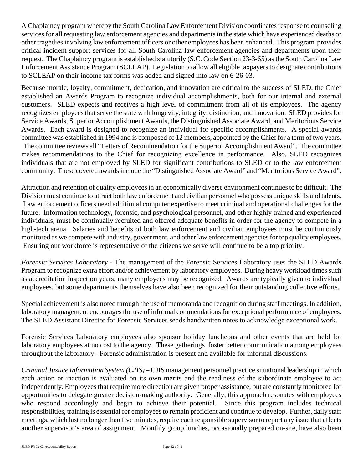A Chaplaincy program whereby the South Carolina Law Enforcement Division coordinates response to counseling services for all requesting law enforcement agencies and departments in the state which have experienced deaths or other tragedies involving law enforcement officers or other employees has been enhanced. This program provides critical incident support services for all South Carolina law enforcement agencies and departments upon their request. The Chaplaincy program is established statutorily (S.C. Code Section 23-3-65) as the South Carolina Law Enforcement Assistance Program (SCLEAP). Legislation to allow all eligible taxpayers to designate contributions to SCLEAP on their income tax forms was added and signed into law on 6-26-03.

Because morale, loyalty, commitment, dedication, and innovation are critical to the success of SLED, the Chief established an Awards Program to recognize individual accomplishments, both for our internal and external customers. SLED expects and receives a high level of commitment from all of its employees. The agency recognizes employees that serve the state with longevity, integrity, distinction, and innovation. SLED provides for Service Awards, Superior Accomplishment Awards, the Distinguished Associate Award, and Meritorious Service Awards. Each award is designed to recognize an individual for specific accomplishments. A special awards committee was established in 1994 and is composed of 12 members, appointed by the Chief for a term of two years. The committee reviews all "Letters of Recommendation for the Superior Accomplishment Award". The committee makes recommendations to the Chief for recognizing excellence in performance. Also, SLED recognizes individuals that are not employed by SLED for significant contributions to SLED or to the law enforcement community. These coveted awards include the "Distinguished Associate Award" and "Meritorious Service Award".

Attraction and retention of quality employees in an economically diverse environment continues to be difficult. The Division must continue to attract both law enforcement and civilian personnel who possess unique skills and talents. Law enforcement officers need additional computer expertise to meet criminal and operational challenges for the future. Information technology, forensic, and psychological personnel, and other highly trained and experienced individuals, must be continually recruited and offered adequate benefits in order for the agency to compete in a high-tech arena. Salaries and benefits of both law enforcement and civilian employees must be continuously monitored as we compete with industry, government, and other law enforcement agencies for top quality employees. Ensuring our workforce is representative of the citizens we serve will continue to be a top priority.

*Forensic Services Laboratory -* The management of the Forensic Services Laboratory uses the SLED Awards Program to recognize extra effort and/or achievement by laboratory employees. During heavy workload times such as accreditation inspection years, many employees may be recognized. Awards are typically given to individual employees, but some departments themselves have also been recognized for their outstanding collective efforts.

Special achievement is also noted through the use of memoranda and recognition during staff meetings. In addition, laboratory management encourages the use of informal commendations for exceptional performance of employees. The SLED Assistant Director for Forensic Services sends handwritten notes to acknowledge exceptional work.

Forensic Services Laboratory employees also sponsor holiday luncheons and other events that are held for laboratory employees at no cost to the agency. These gatherings foster better communication among employees throughout the laboratory. Forensic administration is present and available for informal discussions.

*Criminal Justice Information System (CJIS) –* CJIS management personnel practice situational leadership in which each action or inaction is evaluated on its own merits and the readiness of the subordinate employee to act independently. Employees that require more direction are given proper assistance, but are constantly monitored for opportunities to delegate greater decision-making authority. Generally, this approach resonates with employees who respond accordingly and begin to achieve their potential. Since this program includes technical responsibilities, training is essential for employees to remain proficient and continue to develop. Further, daily staff meetings, which last no longer than five minutes, require each responsible supervisor to report any issue that affects another supervisor's area of assignment. Monthly group lunches, occasionally prepared on-site, have also been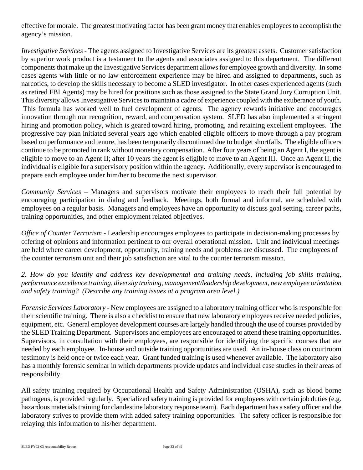effective for morale. The greatest motivating factor has been grant money that enables employees to accomplish the agency's mission.

*Investigative Services* - The agents assigned to Investigative Services are its greatest assets. Customer satisfaction by superior work product is a testament to the agents and associates assigned to this department. The different components that make up the Investigative Services department allows for employee growth and diversity. In some cases agents with little or no law enforcement experience may be hired and assigned to departments, such as narcotics, to develop the skills necessary to become a SLED investigator. In other cases experienced agents (such as retired FBI Agents) may be hired for positions such as those assigned to the State Grand Jury Corruption Unit. This diversity allows Investigative Services to maintain a cadre of experience coupled with the exuberance of youth. This formula has worked well to fuel development of agents. The agency rewards initiative and encourages innovation through our recognition, reward, and compensation system. SLED has also implemented a stringent hiring and promotion policy, which is geared toward hiring, promoting, and retaining excellent employees. The progressive pay plan initiated several years ago which enabled eligible officers to move through a pay program based on performance and tenure, has been temporarily discontinued due to budget shortfalls. The eligible officers continue to be promoted in rank without monetary compensation. After four years of being an Agent I, the agent is eligible to move to an Agent II; after 10 years the agent is eligible to move to an Agent III. Once an Agent II, the individual is eligible for a supervisory position within the agency. Additionally, every supervisor is encouraged to prepare each employee under him/her to become the next supervisor.

*Community Services* – Managers and supervisors motivate their employees to reach their full potential by encouraging participation in dialog and feedback. Meetings, both formal and informal, are scheduled with employees on a regular basis. Managers and employees have an opportunity to discuss goal setting, career paths, training opportunities, and other employment related objectives.

*Office of Counter Terrorism -* Leadership encourages employees to participate in decision-making processes by offering of opinions and information pertinent to our overall operational mission. Unit and individual meetings are held where career development, opportunity, training needs and problems are discussed. The employees of the counter terrorism unit and their job satisfaction are vital to the counter terrorism mission.

*2. How do you identify and address key developmental and training needs, including job skills training, performance excellence training, diversity training, management/leadership development, new employee orientation and safety training? (Describe any training issues at a program area level.)*

*Forensic Services Laboratory -* New employees are assigned to a laboratory training officer who is responsible for their scientific training. There is also a checklist to ensure that new laboratory employees receive needed policies, equipment, etc. General employee development courses are largely handled through the use of courses provided by the SLED Training Department. Supervisors and employees are encouraged to attend these training opportunities. Supervisors, in consultation with their employees, are responsible for identifying the specific courses that are needed by each employee. In-house and outside training opportunities are used. An in-house class on courtroom testimony is held once or twice each year. Grant funded training is used whenever available. The laboratory also has a monthly forensic seminar in which departments provide updates and individual case studies in their areas of responsibility.

All safety training required by Occupational Health and Safety Administration (OSHA), such as blood borne pathogens, is provided regularly. Specialized safety training is provided for employees with certain job duties (e.g. hazardous materials training for clandestine laboratory response team). Each department has a safety officer and the laboratory strives to provide them with added safety training opportunities. The safety officer is responsible for relaying this information to his/her department.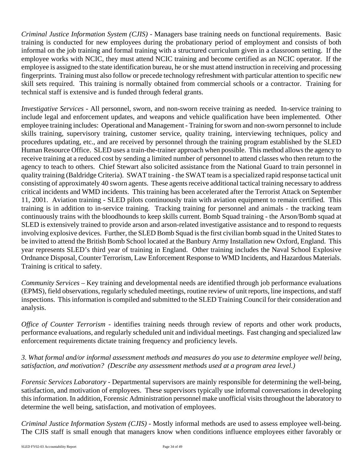*Criminal Justice Information System (CJIS) -* Managers base training needs on functional requirements. Basic training is conducted for new employees during the probationary period of employment and consists of both informal on the job training and formal training with a structured curriculum given in a classroom setting. If the employee works with NCIC, they must attend NCIC training and become certified as an NCIC operator. If the employee is assigned to the state identification bureau, he or she must attend instruction in receiving and processing fingerprints. Training must also follow or precede technology refreshment with particular attention to specific new skill sets required. This training is normally obtained from commercial schools or a contractor. Training for technical staff is extensive and is funded through federal grants.

*Investigative Services* - All personnel, sworn, and non-sworn receive training as needed. In-service training to include legal and enforcement updates, and weapons and vehicle qualification have been implemented. Other employee training includes: Operational and Management - Training for sworn and non-sworn personnel to include skills training, supervisory training, customer service, quality training, interviewing techniques, policy and procedures updating, etc., and are received by personnel through the training program established by the SLED Human Resource Office. SLED uses a train-the-trainer approach when possible. This method allows the agency to receive training at a reduced cost by sending a limited number of personnel to attend classes who then return to the agency to teach to others. Chief Stewart also solicited assistance from the National Guard to train personnel in quality training (Baldridge Criteria). SWAT training - the SWAT team is a specialized rapid response tactical unit consisting of approximately 40 sworn agents. These agents receive additional tactical training necessary to address critical incidents and WMD incidents. This training has been accelerated after the Terrorist Attack on September 11, 2001. Aviation training - SLED pilots continuously train with aviation equipment to remain certified. This training is in addition to in-service training. Tracking training for personnel and animals - the tracking team continuously trains with the bloodhounds to keep skills current. Bomb Squad training - the Arson/Bomb squad at SLED is extensively trained to provide arson and arson-related investigative assistance and to respond to requests involving explosive devices. Further, the SLED Bomb Squad is the first civilian bomb squad in the United States to be invited to attend the British Bomb School located at the Banbury Army Installation new Oxford, England. This year represents SLED's third year of training in England. Other training includes the Naval School Explosive Ordnance Disposal, Counter Terrorism, Law Enforcement Response to WMD Incidents, and Hazardous Materials. Training is critical to safety.

*Community Services –* Key training and developmental needs are identified through job performance evaluations (EPMS), field observations, regularly scheduled meetings, routine review of unit reports, line inspections, and staff inspections. This information is compiled and submitted to the SLED Training Council for their consideration and analysis.

*Office of Counter Terrorism -* identifies training needs through review of reports and other work products, performance evaluations, and regularly scheduled unit and individual meetings. Fast changing and specialized law enforcement requirements dictate training frequency and proficiency levels.

# *3. What formal and/or informal assessment methods and measures do you use to determine employee well being, satisfaction, and motivation? (Describe any assessment methods used at a program area level.)*

*Forensic Services Laboratory -* Departmental supervisors are mainly responsible for determining the well-being, satisfaction, and motivation of employees. These supervisors typically use informal conversations in developing this information. In addition, Forensic Administration personnel make unofficial visits throughout the laboratory to determine the well being, satisfaction, and motivation of employees.

*Criminal Justice Information System (CJIS) -* Mostly informal methods are used to assess employee well-being. The CJIS staff is small enough that managers know when conditions influence employees either favorably or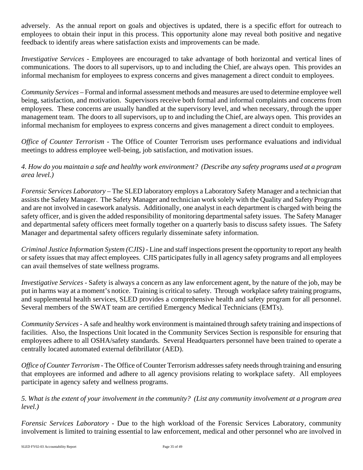adversely. As the annual report on goals and objectives is updated, there is a specific effort for outreach to employees to obtain their input in this process. This opportunity alone may reveal both positive and negative feedback to identify areas where satisfaction exists and improvements can be made.

*Investigative Services* - Employees are encouraged to take advantage of both horizontal and vertical lines of communications. The doors to all supervisors, up to and including the Chief, are always open. This provides an informal mechanism for employees to express concerns and gives management a direct conduit to employees.

*Community Services* – Formal and informal assessment methods and measures are used to determine employee well being, satisfaction, and motivation. Supervisors receive both formal and informal complaints and concerns from employees. These concerns are usually handled at the supervisory level, and when necessary, through the upper management team. The doors to all supervisors, up to and including the Chief, are always open. This provides an informal mechanism for employees to express concerns and gives management a direct conduit to employees.

*Office of Counter Terrorism - The Office of Counter Terrorism uses performance evaluations and individual* meetings to address employee well-being, job satisfaction, and motivation issues.

*4. How do you maintain a safe and healthy work environment? (Describe any safety programs used at a program area level.)*

*Forensic Services Laboratory –* The SLED laboratory employs a Laboratory Safety Manager and a technician that assists the Safety Manager. The Safety Manager and technician work solely with the Quality and Safety Programs and are not involved in casework analysis. Additionally, one analyst in each department is charged with being the safety officer, and is given the added responsibility of monitoring departmental safety issues. The Safety Manager and departmental safety officers meet formally together on a quarterly basis to discuss safety issues. The Safety Manager and departmental safety officers regularly disseminate safety information.

*Criminal Justice Information System (CJIS) -* Line and staff inspections present the opportunity to report any health or safety issues that may affect employees. CJIS participates fully in all agency safety programs and all employees can avail themselves of state wellness programs.

*Investigative Services* - Safety is always a concern as any law enforcement agent, by the nature of the job, may be put in harms way at a moment's notice. Training is critical to safety. Through workplace safety training programs, and supplemental health services, SLED provides a comprehensive health and safety program for all personnel. Several members of the SWAT team are certified Emergency Medical Technicians (EMTs).

*Community Services -* A safe and healthy work environment is maintained through safety training and inspections of facilities. Also, the Inspections Unit located in the Community Services Section is responsible for ensuring that employees adhere to all OSHA/safety standards. Several Headquarters personnel have been trained to operate a centrally located automated external defibrillator (AED).

*Office of Counter Terrorism* - The Office of Counter Terrorism addresses safety needs through training and ensuring that employees are informed and adhere to all agency provisions relating to workplace safety. All employees participate in agency safety and wellness programs.

*5. What is the extent of your involvement in the community? (List any community involvement at a program area level.)*

*Forensic Services Laboratory -* Due to the high workload of the Forensic Services Laboratory, community involvement is limited to training essential to law enforcement, medical and other personnel who are involved in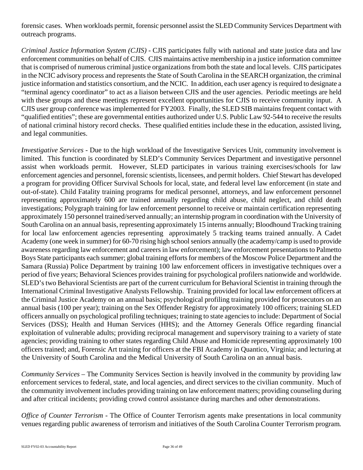forensic cases. When workloads permit, forensic personnel assist the SLED Community Services Department with outreach programs.

*Criminal Justice Information System (CJIS) -* CJIS participates fully with national and state justice data and law enforcement communities on behalf of CJIS. CJIS maintains active membership in a justice information committee that is comprised of numerous criminal justice organizations from both the state and local levels. CJIS participates in the NCIC advisory process and represents the State of South Carolina in the SEARCH organization, the criminal justice information and statistics consortium, and the NCIC. In addition, each user agency is required to designate a "terminal agency coordinator" to act as a liaison between CJIS and the user agencies. Periodic meetings are held with these groups and these meetings represent excellent opportunities for CJIS to receive community input. A CJIS user group conference was implemented for FY2003. Finally, the SLED SIB maintains frequent contact with "qualified entities"; these are governmental entities authorized under U.S. Public Law 92-544 to receive the results of national criminal history record checks. These qualified entities include these in the education, assisted living, and legal communities.

*Investigative Services* - Due to the high workload of the Investigative Services Unit, community involvement is limited. This function is coordinated by SLED's Community Services Department and investigative personnel assist when workloads permit. However, SLED participates in various training exercises/schools for law enforcement agencies and personnel, forensic scientists, licensees, and permit holders. Chief Stewart has developed a program for providing Officer Survival Schools for local, state, and federal level law enforcement (in state and out-of-state). Child Fatality training programs for medical personnel, attorneys, and law enforcement personnel representing approximately 600 are trained annually regarding child abuse, child neglect, and child death investigations; Polygraph training for law enforcement personnel to receive or maintain certification representing approximately 150 personnel trained/served annually; an internship program in coordination with the University of South Carolina on an annual basis, representing approximately 15 interns annually; Bloodhound Tracking training for local law enforcement agencies representing approximately 5 tracking teams trained annually. A Cadet Academy (one week in summer) for 60-70 rising high school seniors annually (the academy/camp is used to provide awareness regarding law enforcement and careers in law enforcement); law enforcement presentations to Palmetto Boys State participants each summer; global training efforts for members of the Moscow Police Department and the Samara (Russia) Police Department by training 100 law enforcement officers in investigative techniques over a period of five years; Behavioral Sciences provides training for psychological profilers nationwide and worldwide. SLED's two Behavioral Scientists are part of the current curriculum for Behavioral Scientist in training through the International Criminal Investigative Analysts Fellowship. Training provided for local law enforcement officers at the Criminal Justice Academy on an annual basis; psychological profiling training provided for prosecutors on an annual basis (100 per year); training on the Sex Offender Registry for approximately 100 officers; training SLED officers annually on psychological profiling techniques; training to state agencies to include: Department of Social Services (DSS); Health and Human Services (HHS); and the Attorney Generals Office regarding financial exploitation of vulnerable adults; providing reciprocal management and supervisory training to a variety of state agencies; providing training to other states regarding Child Abuse and Homicide representing approximately 100 officers trained; and, Forensic Art training for officers at the FBI Academy in Quantico, Virginia; and lecturing at the University of South Carolina and the Medical University of South Carolina on an annual basis.

*Community Services* – The Community Services Section is heavily involved in the community by providing law enforcement services to federal, state, and local agencies, and direct services to the civilian community. Much of the community involvement includes providing training on law enforcement matters; providing counseling during and after critical incidents; providing crowd control assistance during marches and other demonstrations.

*Office of Counter Terrorism - The Office of Counter Terrorism agents make presentations in local community* venues regarding public awareness of terrorism and initiatives of the South Carolina Counter Terrorism program*.*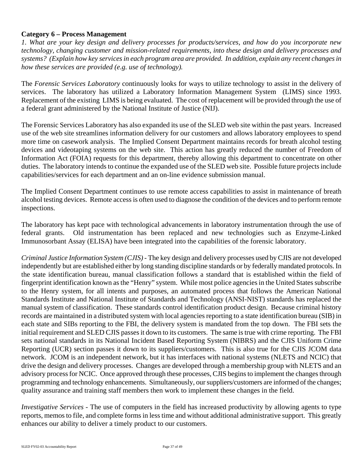# **Category 6 – Process Management**

*1. What are your key design and delivery processes for products/services, and how do you incorporate new technology, changing customer and mission-related requirements, into these design and delivery processes and systems? (Explain how key services in each program area are provided. In addition, explain any recent changes in how these services are provided (e.g. use of technology).*

The *Forensic Services Laboratory* continuously looks for ways to utilize technology to assist in the delivery of services. The laboratory has utilized a Laboratory Information Management System (LIMS) since 1993. Replacement of the existing LIMS is being evaluated. The cost of replacement will be provided through the use of a federal grant administered by the National Institute of Justice (NIJ).

The Forensic Services Laboratory has also expanded its use of the SLED web site within the past years. Increased use of the web site streamlines information delivery for our customers and allows laboratory employees to spend more time on casework analysis. The Implied Consent Department maintains records for breath alcohol testing devices and videotaping systems on the web site. This action has greatly reduced the number of Freedom of Information Act (FOIA) requests for this department, thereby allowing this department to concentrate on other duties. The laboratory intends to continue the expanded use of the SLED web site. Possible future projects include capabilities/services for each department and an on-line evidence submission manual.

The Implied Consent Department continues to use remote access capabilities to assist in maintenance of breath alcohol testing devices. Remote access is often used to diagnose the condition of the devices and to perform remote inspections.

The laboratory has kept pace with technological advancements in laboratory instrumentation through the use of federal grants. Old instrumentation has been replaced and new technologies such as Enzyme-Linked Immunosorbant Assay (ELISA) have been integrated into the capabilities of the forensic laboratory.

*Criminal Justice Information System (CJIS) -* The key design and delivery processes used by CJIS are not developed independently but are established either by long standing discipline standards or by federally mandated protocols. In the state identification bureau, manual classification follows a standard that is established within the field of fingerprint identification known as the "Henry" system. While most police agencies in the United States subscribe to the Henry system, for all intents and purposes, an automated process that follows the American National Standards Institute and National Institute of Standards and Technology (ANSI-NIST) standards has replaced the manual system of classification. These standards control identification product design. Because criminal history records are maintained in a distributed system with local agencies reporting to a state identification bureau (SIB) in each state and SIBs reporting to the FBI, the delivery system is mandated from the top down. The FBI sets the initial requirement and SLED CJIS passes it down to its customers. The same is true with crime reporting. The FBI sets national standards in its National Incident Based Reporting System (NIBRS) and the CJIS Uniform Crime Reporting (UCR) section passes it down to its suppliers/customers. This is also true for the CJIS JCOM data network. JCOM is an independent network, but it has interfaces with national systems (NLETS and NCIC) that drive the design and delivery processes. Changes are developed through a membership group with NLETS and an advisory process for NCIC. Once approved through these processes, CJIS begins to implement the changes through programming and technology enhancements. Simultaneously, our suppliers/customers are informed of the changes; quality assurance and training staff members then work to implement these changes in the field.

*Investigative Services* - The use of computers in the field has increased productivity by allowing agents to type reports, memos to file, and complete forms in less time and without additional administrative support. This greatly enhances our ability to deliver a timely product to our customers.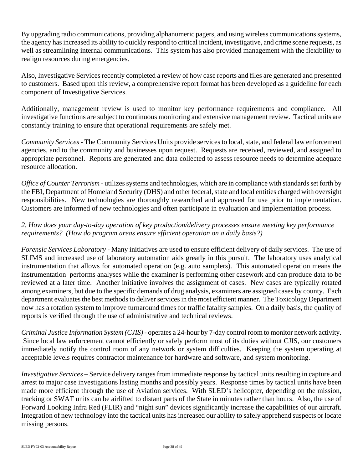By upgrading radio communications, providing alphanumeric pagers, and using wireless communications systems, the agency has increased its ability to quickly respond to critical incident, investigative, and crime scene requests, as well as streamlining internal communications. This system has also provided management with the flexibility to realign resources during emergencies.

Also, Investigative Services recently completed a review of how case reports and files are generated and presented to customers. Based upon this review, a comprehensive report format has been developed as a guideline for each component of Investigative Services.

Additionally, management review is used to monitor key performance requirements and compliance. All investigative functions are subject to continuous monitoring and extensive management review. Tactical units are constantly training to ensure that operational requirements are safely met.

*Community Services***-** The Community Services Units provide services to local, state, and federal law enforcement agencies, and to the community and businesses upon request. Requests are received, reviewed, and assigned to appropriate personnel. Reports are generated and data collected to assess resource needs to determine adequate resource allocation.

*Office of Counter Terrorism -* utilizes systems and technologies, which are in compliance with standards set forth by the FBI, Department of Homeland Security (DHS) and other federal, state and local entities charged with oversight responsibilities. New technologies are thoroughly researched and approved for use prior to implementation. Customers are informed of new technologies and often participate in evaluation and implementation process.

# *2. How does your day-to-day operation of key production/delivery processes ensure meeting key performance requirements? (How do program areas ensure efficient operation on a daily basis?)*

*Forensic Services Laboratory -* Many initiatives are used to ensure efficient delivery of daily services. The use of SLIMS and increased use of laboratory automation aids greatly in this pursuit. The laboratory uses analytical instrumentation that allows for automated operation (e.g. auto samplers). This automated operation means the instrumentation performs analyses while the examiner is performing other casework and can produce data to be reviewed at a later time. Another initiative involves the assignment of cases. New cases are typically rotated among examiners, but due to the specific demands of drug analysis, examiners are assigned cases by county. Each department evaluates the best methods to deliver services in the most efficient manner. The Toxicology Department now has a rotation system to improve turnaround times for traffic fatality samples. On a daily basis, the quality of reports is verified through the use of administrative and technical reviews.

*Criminal Justice Information System (CJIS) -* operates a 24-hour by 7-day control room to monitor network activity. Since local law enforcement cannot efficiently or safely perform most of its duties without CJIS, our customers immediately notify the control room of any network or system difficulties. Keeping the system operating at acceptable levels requires contractor maintenance for hardware and software, and system monitoring.

*Investigative Services* – Service delivery ranges from immediate response by tactical units resulting in capture and arrest to major case investigations lasting months and possibly years. Response times by tactical units have been made more efficient through the use of Aviation services. With SLED's helicopter, depending on the mission, tracking or SWAT units can be airlifted to distant parts of the State in minutes rather than hours. Also, the use of Forward Looking Infra Red (FLIR) and "night sun" devices significantly increase the capabilities of our aircraft. Integration of new technology into the tactical units has increased our ability to safely apprehend suspects or locate missing persons.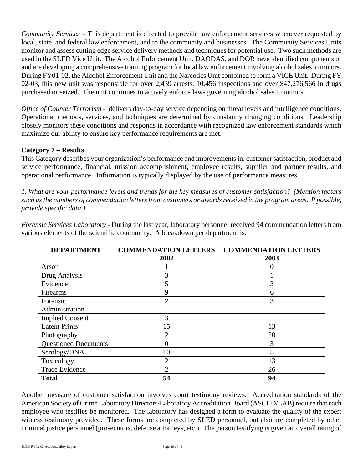*Community Services* – This department is directed to provide law enforcement services whenever requested by local, state, and federal law enforcement, and to the community and businesses. The Community Services Units monitor and assess cutting edge service delivery methods and techniques for potential use. Two such methods are used in the SLED Vice Unit. The Alcohol Enforcement Unit, DAODAS, and DOR have identified components of and are developing a comprehensive training program for local law enforcement involving alcohol sales to minors. During FY01-02, the Alcohol Enforcement Unit and the Narcotics Unit combined to form a VICE Unit. During FY 02-03, this new unit was responsible for over 2,439 arrests, 10,456 inspections and over \$47,276,566 in drugs purchased or seized. The unit continues to actively enforce laws governing alcohol sales to minors.

*Office of Counter Terrorism - delivers day-to-day service depending on threat levels and intelligence conditions.* Operational methods, services, and techniques are determined by constantly changing conditions. Leadership closely monitors these conditions and responds in accordance with recognized law enforcement standards which maximize our ability to ensure key performance requirements are met.

# **Category 7 – Results**

This Category describes your organization's performance and improvements in: customer satisfaction, product and service performance, financial, mission accomplishment, employee results, supplier and partner results, and operational performance. Information is typically displayed by the use of performance measures.

*1. What are your performance levels and trends for the key measures of customer satisfaction? (Mention factors such as the numbers of commendation letters from customers or awards received in the program areas. If possible, provide specific data.)*

| <b>DEPARTMENT</b>           | <b>COMMENDATION LETTERS</b> | <b>COMMENDATION LETTERS</b> |
|-----------------------------|-----------------------------|-----------------------------|
|                             | 2002                        | 2003                        |
| Arson                       |                             |                             |
| Drug Analysis               | 3                           |                             |
| Evidence                    | 5                           |                             |
| Firearms                    | 9                           | 6                           |
| Forensic                    | $\overline{2}$              | 3                           |
| Administration              |                             |                             |
| <b>Implied Consent</b>      | 3                           |                             |
| <b>Latent Prints</b>        | 15                          | 13                          |
| Photography                 | $\mathcal{D}_{\mathcal{L}}$ | 20                          |
| <b>Questioned Documents</b> |                             | 3                           |
| Serology/DNA                | 10                          | 5                           |
| Toxicology                  |                             | 13                          |
| <b>Trace Evidence</b>       | $\mathfrak{D}$              | 26                          |
| <b>Total</b>                | 54                          | 94                          |

*Forensic Services Laboratory -* During the last year, laboratory personnel received 94 commendation letters from various elements of the scientific community. A breakdown per department is:

Another measure of customer satisfaction involves court testimony reviews. Accreditation standards of the American Society of Crime Laboratory Directors/Laboratory Accreditation Board (ASCLD/LAB) require that each employee who testifies be monitored. The laboratory has designed a form to evaluate the quality of the expert witness testimony provided. These forms are completed by SLED personnel, but also are completed by other criminal justice personnel (prosecutors, defense attorneys, etc.). The person testifying is given an overall rating of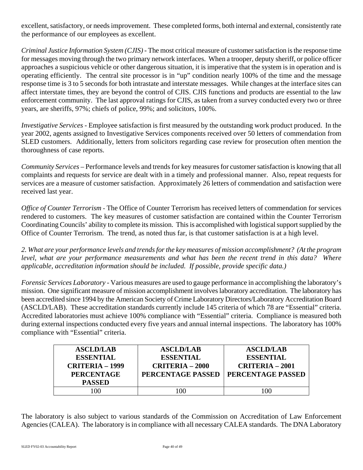excellent, satisfactory, or needs improvement. These completed forms, both internal and external, consistently rate the performance of our employees as excellent.

*Criminal Justice Information System (CJIS) -* The most critical measure of customer satisfaction is the response time for messages moving through the two primary network interfaces. When a trooper, deputy sheriff, or police officer approaches a suspicious vehicle or other dangerous situation, it is imperative that the system is in operation and is operating efficiently. The central site processor is in "up" condition nearly 100% of the time and the message response time is 3 to 5 seconds for both intrastate and interstate messages. While changes at the interface sites can affect interstate times, they are beyond the control of CJIS. CJIS functions and products are essential to the law enforcement community. The last approval ratings for CJIS, as taken from a survey conducted every two or three years, are sheriffs, 97%; chiefs of police, 99%; and solicitors, 100%.

*Investigative Services* - Employee satisfaction is first measured by the outstanding work product produced. In the year 2002, agents assigned to Investigative Services components received over 50 letters of commendation from SLED customers. Additionally, letters from solicitors regarding case review for prosecution often mention the thoroughness of case reports.

*Community Services* – Performance levels and trends for key measures for customer satisfaction is knowing that all complaints and requests for service are dealt with in a timely and professional manner. Also, repeat requests for services are a measure of customer satisfaction. Approximately 26 letters of commendation and satisfaction were received last year.

*Office of Counter Terrorism* - The Office of Counter Terrorism has received letters of commendation for services rendered to customers. The key measures of customer satisfaction are contained within the Counter Terrorism Coordinating Councils' ability to complete its mission. This is accomplished with logistical support supplied by the Office of Counter Terrorism. The trend, as noted thus far, is that customer satisfaction is at a high level.

*2. What are your performance levels and trends for the key measures of mission accomplishment? (At the program level, what are your performance measurements and what has been the recent trend in this data? Where applicable, accreditation information should be included. If possible, provide specific data.)*

*Forensic Services Laboratory* - Various measures are used to gauge performance in accomplishing the laboratory's mission. One significant measure of mission accomplishment involves laboratory accreditation. The laboratory has been accredited since 1994 by the American Society of Crime Laboratory Directors/Laboratory Accreditation Board (ASCLD/LAB). These accreditation standards currently include 145 criteria of which 78 are "Essential" criteria. Accredited laboratories must achieve 100% compliance with "Essential" criteria. Compliance is measured both during external inspections conducted every five years and annual internal inspections. The laboratory has 100% compliance with "Essential" criteria.

| <b>ASCLD/LAB</b><br><b>ESSENTIAL</b><br>CRITERIA – 1999<br><b>PERCENTAGE</b><br><b>PASSED</b> | <b>ASCLD/LAB</b><br><b>ESSENTIAL</b><br><b>CRITERIA - 2000</b><br>PERCENTAGE PASSED | <b>ASCLD/LAB</b><br><b>ESSENTIAL</b><br>$CRITERIA - 2001$<br>PERCENTAGE PASSED |
|-----------------------------------------------------------------------------------------------|-------------------------------------------------------------------------------------|--------------------------------------------------------------------------------|
| 00                                                                                            |                                                                                     | $\alpha$                                                                       |

The laboratory is also subject to various standards of the Commission on Accreditation of Law Enforcement Agencies (CALEA). The laboratory is in compliance with all necessary CALEA standards. The DNA Laboratory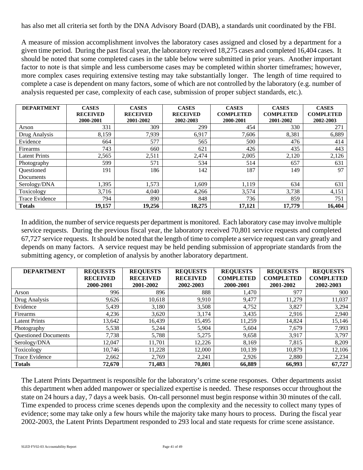has also met all criteria set forth by the DNA Advisory Board (DAB), a standards unit coordinated by the FBI.

A measure of mission accomplishment involves the laboratory cases assigned and closed by a department for a given time period. During the past fiscal year, the laboratory received 18,275 cases and completed 16,404 cases. It should be noted that some completed cases in the table below were submitted in prior years. Another important factor to note is that simple and less cumbersome cases may be completed within shorter timeframes; however, more complex cases requiring extensive testing may take substantially longer. The length of time required to complete a case is dependent on many factors, some of which are not controlled by the laboratory (e.g. number of analysis requested per case, complexity of each case, submission of proper subject standards, etc.).

| <b>DEPARTMENT</b>     | <b>CASES</b>    | <b>CASES</b>    | <b>CASES</b>    | <b>CASES</b>     | <b>CASES</b>     | <b>CASES</b>     |
|-----------------------|-----------------|-----------------|-----------------|------------------|------------------|------------------|
|                       | <b>RECEIVED</b> | <b>RECEIVED</b> | <b>RECEIVED</b> | <b>COMPLETED</b> | <b>COMPLETED</b> | <b>COMPLETED</b> |
|                       | 2000-2001       | 2001-2002       | 2002-2003       | 2000-2001        | 2001-2002        | 2002-2003        |
| Arson                 | 331             | 309             | 299             | 454              | 330              | 271              |
| Drug Analysis         | 8,159           | 7,939           | 6,917           | 7,606            | 8,381            | 6,889            |
| Evidence              | 664             | 577             | 565             | 500              | 476              | 414              |
| Firearms              | 743             | 660             | 621             | 426              | 435              | 443              |
| <b>Latent Prints</b>  | 2,565           | 2,511           | 2,474           | 2,005            | 2,120            | 2,126            |
| Photography           | 599             | 571             | 534             | 514              | 657              | 631              |
| Questioned            | 191             | 186             | 142             | 187              | 149              | 97               |
| Documents             |                 |                 |                 |                  |                  |                  |
| Serology/DNA          | 1,395           | 1,573           | l.609           | 1,119            | 634              | 631              |
| Toxicology            | 3,716           | 4,040           | 4,266           | 3,574            | 3,738            | 4,151            |
| <b>Trace Evidence</b> | 794             | 890             | 848             | 736              | 859              | 751              |
| <b>Totals</b>         | 19,157          | 19,256          | 18.275          | 17,121           | 17,779           | 16,404           |

In addition, the number of service requests per department is monitored. Each laboratory case may involve multiple service requests. During the previous fiscal year, the laboratory received 70,801 service requests and completed 67,727 service requests. It should be noted that the length of time to complete a service request can vary greatly and depends on many factors. A service request may be held pending submission of appropriate standards from the submitting agency, or completion of analysis by another laboratory department.

| <b>DEPARTMENT</b>           | <b>REQUESTS</b><br><b>RECEIVED</b> | <b>REQUESTS</b><br><b>RECEIVED</b> | <b>REQUESTS</b><br><b>RECEIVED</b> | <b>REQUESTS</b><br><b>COMPLETED</b> | <b>REQUESTS</b><br><b>COMPLETED</b> | <b>REQUESTS</b><br><b>COMPLETED</b> |
|-----------------------------|------------------------------------|------------------------------------|------------------------------------|-------------------------------------|-------------------------------------|-------------------------------------|
|                             | 2000-2001                          | 2001-2002                          | 2002-2003                          | 2000-2001                           | 2001-2002                           | 2002-2003                           |
| Arson                       | 996                                | 896                                | 888                                | 1,470                               | 977                                 | 900                                 |
| Drug Analysis               | 9,626                              | 10.618                             | 9,910                              | 9,477                               | 11.279                              | 11,037                              |
| Evidence                    | 5,439                              | 3,180                              | 3,508                              | 4,752                               | 3,827                               | 3,294                               |
| Firearms                    | 4,236                              | 3,620                              | 3,174                              | 3,435                               | 2,916                               | 2,940                               |
| <b>Latent Prints</b>        | 13,642                             | 16.439                             | 15,495                             | 11,259                              | 14,824                              | 15,146                              |
| Photography                 | 5,538                              | 5,244                              | 5,904                              | 5,604                               | 7,679                               | 7,993                               |
| <b>Questioned Documents</b> | 7,738                              | 5,788                              | 5,275                              | 9,658                               | 3,917                               | 3,797                               |
| Serology/DNA                | 12,047                             | 11,701                             | 12,226                             | 8,169                               | 7,815                               | 8,209                               |
| Toxicology                  | 10,746                             | 11,228                             | 12,000                             | 10,139                              | 10,879                              | 12,106                              |
| Trace Evidence              | 2.662                              | 2.769                              | 2.241                              | 2,926                               | 2,880                               | 2,234                               |
| <b>Totals</b>               | 72,670                             | 71,483                             | 70,801                             | 66,889                              | 66,993                              | 67,727                              |

The Latent Prints Department is responsible for the laboratory's crime scene responses. Other departments assist this department when added manpower or specialized expertise is needed. These responses occur throughout the state on 24 hours a day, 7 days a week basis. On-call personnel must begin response within 30 minutes of the call. Time expended to process crime scenes depends upon the complexity and the necessity to collect many types of evidence; some may take only a few hours while the majority take many hours to process. During the fiscal year 2002-2003, the Latent Prints Department responded to 293 local and state requests for crime scene assistance.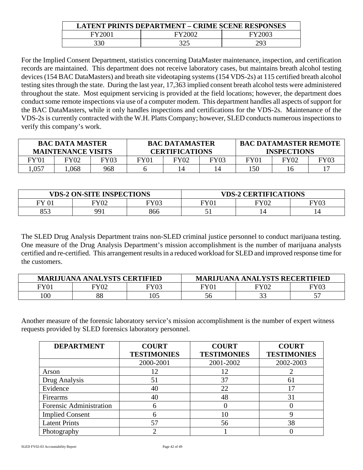| <b>LATENT PRINTS DEPARTMENT - CRIME SCENE RESPONSES</b> |        |        |  |  |  |
|---------------------------------------------------------|--------|--------|--|--|--|
| FY2007                                                  | FY2002 | FY2003 |  |  |  |
|                                                         | 325    | 29.    |  |  |  |

For the Implied Consent Department, statistics concerning DataMaster maintenance, inspection, and certification records are maintained. This department does not receive laboratory cases, but maintains breath alcohol testing devices (154 BAC DataMasters) and breath site videotaping systems (154 VDS-2s) at 115 certified breath alcohol testing sites through the state. During the last year, 17,363 implied consent breath alcohol tests were administered throughout the state. Most equipment servicing is provided at the field locations; however, the department does conduct some remote inspections via use of a computer modem. This department handles all aspects of support for the BAC DataMasters, while it only handles inspections and certifications for the VDS-2s. Maintenance of the VDS-2s is currently contracted with the W.H. Platts Company; however, SLED conducts numerous inspections to verify this company's work.

| <b>BAC DATA MASTER</b><br><b>MAINTENANCE VISITS</b> |      |             | <b>BAC DATAMASTER</b><br><b>CERTIFICATIONS</b> |      |             | <b>BAC DATAMASTER REMOTE</b><br><b>INSPECTIONS</b> |             |      |
|-----------------------------------------------------|------|-------------|------------------------------------------------|------|-------------|----------------------------------------------------|-------------|------|
| FY'01                                               | FY02 | <b>FY03</b> | FY01                                           | FY02 | <b>FY03</b> | FY01                                               | <b>FY02</b> | FY03 |
| 0.057                                               | .068 | 968         |                                                | 14   |             | l 50                                               |             |      |

| <b>VDS-2 ON-SITE INSPECTIONS</b> |                |      | <b>VDS-2 CERTIFICATIONS</b> |            |      |
|----------------------------------|----------------|------|-----------------------------|------------|------|
| FV                               | FY02           | FY03 | <b>FY01</b>                 | $\rm{Y}02$ | FY03 |
| 853                              | $QQ^{\dagger}$ | 866  |                             | 14.        | 14   |

The SLED Drug Analysis Department trains non-SLED criminal justice personnel to conduct marijuana testing. One measure of the Drug Analysis Department's mission accomplishment is the number of marijuana analysts certified and re-certified. This arrangement results in a reduced workload for SLED and improved response time for the customers.

| <b>JANA ANALYSTS CERTIFIED</b><br><b>MARLIU</b> |             |      | <b>MARIJUANA ANALYSTS RECERTIFIED</b> |           |         |
|-------------------------------------------------|-------------|------|---------------------------------------|-----------|---------|
| $\Psi$ $101$                                    | <b>FY02</b> | FY03 | <b>FY01</b>                           | $\rm Y02$ | FY03    |
| 00                                              | 88          | 105  | ახ                                    | ົ<br>ر ر  | ٣Π<br>◡ |

Another measure of the forensic laboratory service's mission accomplishment is the number of expert witness requests provided by SLED forensics laboratory personnel.

| <b>DEPARTMENT</b>       | <b>COURT</b>       | <b>COURT</b>       | <b>COURT</b>       |
|-------------------------|--------------------|--------------------|--------------------|
|                         | <b>TESTIMONIES</b> | <b>TESTIMONIES</b> | <b>TESTIMONIES</b> |
|                         | 2000-2001          | 2001-2002          | 2002-2003          |
| Arson                   | 12                 |                    |                    |
| Drug Analysis           | 51                 | 37                 | 61                 |
| Evidence                | 40                 | 22                 |                    |
| Firearms                | 40                 | 48                 | 31                 |
| Forensic Administration | 6                  |                    | 0                  |
| <b>Implied Consent</b>  | n                  | 10                 |                    |
| <b>Latent Prints</b>    | 57                 | 56                 | 38                 |
| Photography             |                    |                    |                    |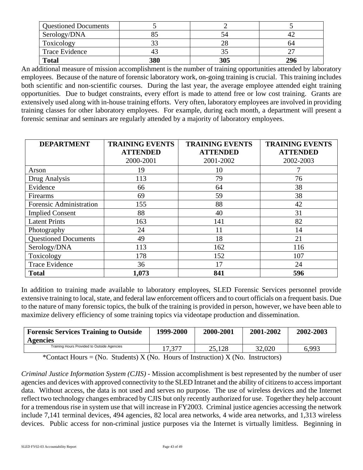| <b>Questioned Documents</b> |     |     |     |
|-----------------------------|-----|-----|-----|
| Serology/DNA                |     |     |     |
| Toxicology                  | 33  |     | 64  |
| <b>Trace Evidence</b>       |     |     |     |
| <b>Total</b>                | 380 | 305 | 296 |

An additional measure of mission accomplishment is the number of training opportunities attended by laboratory employees. Because of the nature of forensic laboratory work, on-going training is crucial. This training includes both scientific and non-scientific courses. During the last year, the average employee attended eight training opportunities. Due to budget constraints, every effort is made to attend free or low cost training. Grants are extensively used along with in-house training efforts. Very often, laboratory employees are involved in providing training classes for other laboratory employees. For example, during each month, a department will present a forensic seminar and seminars are regularly attended by a majority of laboratory employees.

| <b>DEPARTMENT</b>           | <b>TRAINING EVENTS</b> | <b>TRAINING EVENTS</b> | <b>TRAINING EVENTS</b> |
|-----------------------------|------------------------|------------------------|------------------------|
|                             | <b>ATTENDED</b>        | <b>ATTENDED</b>        | <b>ATTENDED</b>        |
|                             | 2000-2001              | 2001-2002              | 2002-2003              |
| Arson                       | 19                     | 10                     | 7                      |
| Drug Analysis               | 113                    | 79                     | 76                     |
| Evidence                    | 66                     | 64                     | 38                     |
| Firearms                    | 69                     | 59                     | 38                     |
| Forensic Administration     | 155                    | 88                     | 42                     |
| <b>Implied Consent</b>      | 88                     | 40                     | 31                     |
| <b>Latent Prints</b>        | 163                    | 141                    | 82                     |
| Photography                 | 24                     | 11                     | 14                     |
| <b>Questioned Documents</b> | 49                     | 18                     | 21                     |
| Serology/DNA                | 113                    | 162                    | 116                    |
| Toxicology                  | 178                    | 152                    | 107                    |
| Trace Evidence              | 36                     | 17                     | 24                     |
| <b>Total</b>                | 1,073                  | 841                    | 596                    |

In addition to training made available to laboratory employees, SLED Forensic Services personnel provide extensive training to local, state, and federal law enforcement officers and to court officials on a frequent basis. Due to the nature of many forensic topics, the bulk of the training is provided in person, however, we have been able to maximize delivery efficiency of some training topics via videotape production and dissemination.

| <b>Forensic Services Training to Outside</b><br><b>Agencies</b> | 1999-2000 | 2000-2001 | 2001-2002 | 2002-2003 |
|-----------------------------------------------------------------|-----------|-----------|-----------|-----------|
| Training Hours Provided to Outside Agencies                     | 17.377    | 25.128    | 32,020    | 6,993     |

\*Contact Hours = (No. Students)  $X$  (No. Hours of Instruction)  $X$  (No. Instructors)

*Criminal Justice Information System (CJIS) -* Mission accomplishment is best represented by the number of user agencies and devices with approved connectivity to the SLED Intranet and the ability of citizens to access important data. Without access, the data is not used and serves no purpose. The use of wireless devices and the Internet reflect two technology changes embraced by CJIS but only recently authorized for use. Together they help account for a tremendous rise in system use that will increase in FY2003. Criminal justice agencies accessing the network include 7,141 terminal devices, 494 agencies, 82 local area networks, 4 wide area networks, and 1,313 wireless devices. Public access for non-criminal justice purposes via the Internet is virtually limitless. Beginning in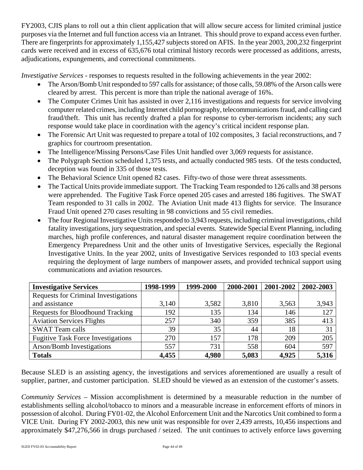FY2003, CJIS plans to roll out a thin client application that will allow secure access for limited criminal justice purposes via the Internet and full function access via an Intranet. This should prove to expand access even further. There are fingerprints for approximately 1,155,427 subjects stored on AFIS. In the year 2003, 200,232 fingerprint cards were received and in excess of 635,676 total criminal history records were processed as additions, arrests, adjudications, expungements, and correctional commitments.

*Investigative Services* - responses to requests resulted in the following achievements in the year 2002:

- The Arson/Bomb Unit responded to 597 calls for assistance; of those calls, 59.08% of the Arson calls were cleared by arrest. This percent is more than triple the national average of 16%.
- The Computer Crimes Unit has assisted in over 2,116 investigations and requests for service involving computer related crimes, including Internet child pornography, telecommunications fraud, and calling card fraud/theft. This unit has recently drafted a plan for response to cyber-terrorism incidents; any such response would take place in coordination with the agency's critical incident response plan.
- The Forensic Art Unit was requested to prepare a total of 102 composites, 3 facial reconstructions, and 7 graphics for courtroom presentation.
- The Intelligence/Missing Persons/Case Files Unit handled over 3,069 requests for assistance.
- The Polygraph Section scheduled 1,375 tests, and actually conducted 985 tests. Of the tests conducted, deception was found in 335 of those tests.
- The Behavioral Science Unit opened 82 cases. Fifty-two of those were threat assessments.
- The Tactical Units provide immediate support. The Tracking Team responded to 126 calls and 38 persons were apprehended. The Fugitive Task Force opened 205 cases and arrested 186 fugitives. The SWAT Team responded to 31 calls in 2002. The Aviation Unit made 413 flights for service. The Insurance Fraud Unit opened 270 cases resulting in 98 convictions and 55 civil remedies.
- The four Regional Investigative Units responded to 3,943 requests, including criminal investigations, child fatality investigations, jury sequestration, and special events. Statewide Special Event Planning, including marches, high profile conferences, and natural disaster management require coordination between the Emergency Preparedness Unit and the other units of Investigative Services, especially the Regional Investigative Units. In the year 2002, units of Investigative Services responded to 103 special events requiring the deployment of large numbers of manpower assets, and provided technical support using communications and aviation resources.

| <b>Investigative Services</b>               | 1998-1999 | 1999-2000 | 2000-2001 | 2001-2002 | 2002-2003 |
|---------------------------------------------|-----------|-----------|-----------|-----------|-----------|
| <b>Requests for Criminal Investigations</b> |           |           |           |           |           |
| and assistance                              | 3,140     | 3,582     | 3,810     | 3,563     | 3,943     |
| Requests for Bloodhound Tracking            | 192       | 135       | 134       | 146       | 127       |
| <b>Aviation Services Flights</b>            | 257       | 340       | 359       | 385       | 413       |
| <b>SWAT Team calls</b>                      | 39        | 35        | 44        | 18        | 31        |
| <b>Fugitive Task Force Investigations</b>   | 270       | 157       | 178       | 209       | 205       |
| <b>Arson/Bomb Investigations</b>            | 557       | 731       | 558       | 604       | 597       |
| <b>Totals</b>                               | 4,455     | 4,980     | 5,083     | 4,925     | 5,316     |

Because SLED is an assisting agency, the investigations and services aforementioned are usually a result of supplier, partner, and customer participation. SLED should be viewed as an extension of the customer's assets.

*Community Services* – Mission accomplishment is determined by a measurable reduction in the number of establishments selling alcohol/tobacco to minors and a measurable increase in enforcement efforts of minors in possession of alcohol. During FY01-02, the Alcohol Enforcement Unit and the Narcotics Unit combined to form a VICE Unit. During FY 2002-2003, this new unit was responsible for over 2,439 arrests, 10,456 inspections and approximately \$47,276,566 in drugs purchased / seized. The unit continues to actively enforce laws governing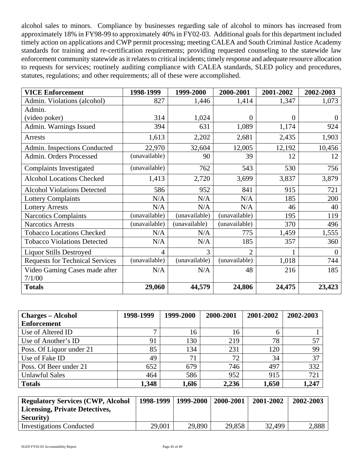alcohol sales to minors. Compliance by businesses regarding sale of alcohol to minors has increased from approximately 18% in FY98-99 to approximately 40% in FY02-03. Additional goals for this department included timely action on applications and CWP permit processing; meeting CALEA and South Criminal Justice Academy standards for training and re-certification requirements; providing requested counseling to the statewide law enforcement community statewide as it relates to critical incidents; timely response and adequate resource allocation to requests for services; routinely auditing compliance with CALEA standards, SLED policy and procedures, statutes, regulations; and other requirements; all of these were accomplished.

| <b>VICE Enforcement</b>                | 1998-1999     | 1999-2000     | 2000-2001      | 2001-2002 | 2002-2003        |
|----------------------------------------|---------------|---------------|----------------|-----------|------------------|
| Admin. Violations (alcohol)            | 827           | 1,446         | 1,414          | 1,347     | 1,073            |
| Admin.                                 |               |               |                |           |                  |
| (video poker)                          | 314           | 1,024         | $\Omega$       | 0         | $\Omega$         |
| Admin. Warnings Issued                 | 394           | 631           | 1,089          | 1,174     | 924              |
| Arrests                                | 1,613         | 2,202         | 2,681          | 2,435     | 1,903            |
| Admin. Inspections Conducted           | 22,970        | 32,604        | 12,005         | 12,192    | 10,456           |
| Admin. Orders Processed                | (unavailable) | 90            | 39             | 12        | 12               |
| Complaints Investigated                | (unavailable) | 762           | 543            | 530       | 756              |
| <b>Alcohol Locations Checked</b>       | 1,413         | 2,720         | 3,699          | 3,837     | 3,879            |
| <b>Alcohol Violations Detected</b>     | 586           | 952           | 841            | 915       | 721              |
| <b>Lottery Complaints</b>              | N/A           | N/A           | N/A            | 185       | 200              |
| <b>Lottery Arrests</b>                 | N/A           | N/A           | N/A            | 46        | 40               |
| <b>Narcotics Complaints</b>            | (unavailable) | (unavailable) | (unavailable)  | 195       | 119              |
| <b>Narcotics Arrests</b>               | (unavailable) | (unavailable) | (unavailable)  | 370       | 496              |
| <b>Tobacco Locations Checked</b>       | N/A           | N/A           | 775            | 1,459     | 1,555            |
| <b>Tobacco Violations Detected</b>     | N/A           | N/A           | 185            | 357       | 360              |
| <b>Liquor Stills Destroyed</b>         | 4             | 3             | $\overline{2}$ |           | $\boldsymbol{0}$ |
| <b>Requests for Technical Services</b> | (unavailable) | (unavailable) | (unavailable)  | 1,018     | 744              |
| Video Gaming Cases made after          | N/A           | N/A           | 48             | 216       | 185              |
| 7/1/00                                 |               |               |                |           |                  |
| <b>Totals</b>                          | 29,060        | 44,579        | 24,806         | 24,475    | 23,423           |

| <b>Charges – Alcohol</b> | 1998-1999    | 1999-2000 | 2000-2001 | 2001-2002 | 2002-2003 |
|--------------------------|--------------|-----------|-----------|-----------|-----------|
| <b>Enforcement</b>       |              |           |           |           |           |
| Use of Altered ID        | $\mathbf{r}$ | 16        | 16        |           |           |
| Use of Another's ID      | 91           | 130       | 219       | 78        | 57        |
| Poss. Of Liquor under 21 | 85           | 134       | 231       | 120       | 99        |
| Use of Fake ID           | 49           | 71        | 72        | 34        | 37        |
| Poss. Of Beer under 21   | 652          | 679       | 746       | 497       | 332       |
| <b>Unlawful Sales</b>    | 464          | 586       | 952       | 915       | 721       |
| <b>Totals</b>            | 1,348        | 1,616     | 2,236     | 1,650     | 1,247     |

| <b>Regulatory Services (CWP, Alcohol</b> |        | 1998-1999   1999-2000 | 2000-2001 | 2001-2002 | 2002-2003 |
|------------------------------------------|--------|-----------------------|-----------|-----------|-----------|
| <b>Licensing, Private Detectives,</b>    |        |                       |           |           |           |
| <b>Security</b> )                        |        |                       |           |           |           |
| <b>Investigations Conducted</b>          | 29,001 | 29,890                | 29,858    | 32,499    | 2,888     |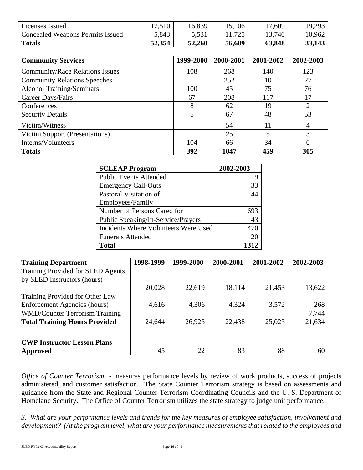| Licenses Issued                         | 17,510 | 16,839              | .106   | 17,609 | 19,293 |
|-----------------------------------------|--------|---------------------|--------|--------|--------|
| <b>Concealed Weapons Permits Issued</b> | 5,843  | 552<br><u>J.JJI</u> | 705    | 13,740 | 10,962 |
| <b>Totals</b>                           | 52,354 | 52,260              | 56,689 | 63,848 | 33,143 |

| <b>Community Services</b>              | 1999-2000      | 2000-2001 | 2001-2002 | 2002-2003 |
|----------------------------------------|----------------|-----------|-----------|-----------|
| <b>Community/Race Relations Issues</b> | 108            | 268       | 140       | 123       |
| <b>Community Relations Speeches</b>    |                | 252       | 10        | 27        |
| <b>Alcohol Training/Seminars</b>       | 100            | 45        | 75        | 76        |
| Career Days/Fairs                      | 67             | 208       | 117       | 17        |
| Conferences                            | 8              | 62        | 19        | 2         |
| <b>Security Details</b>                | $\mathfrak{S}$ | 67        | 48        | 53        |
| Victim/Witness                         |                | 54        | 11        | 4         |
| Victim Support (Presentations)         |                | 25        | 5         | 3         |
| Interns/Volunteers                     | 104            | 66        | 34        | $_{0}$    |
| <b>Totals</b>                          | 392            | 1047      | 459       | 305       |

| <b>SCLEAP Program</b>                | 2002-2003 |
|--------------------------------------|-----------|
| <b>Public Events Attended</b>        |           |
| <b>Emergency Call-Outs</b>           | 33        |
| Pastoral Visitation of               | 44        |
| Employees/Family                     |           |
| Number of Persons Cared for          | 693       |
| Public Speaking/In-Service/Prayers   | 43        |
| Incidents Where Volunteers Were Used | 470       |
| <b>Funerals Attended</b>             | 20        |
| <b>Total</b>                         | 1312      |

| <b>Training Department</b>            | 1998-1999 | 1999-2000 | 2000-2001 | 2001-2002 | 2002-2003 |
|---------------------------------------|-----------|-----------|-----------|-----------|-----------|
| Training Provided for SLED Agents     |           |           |           |           |           |
| by SLED Instructors (hours)           |           |           |           |           |           |
|                                       | 20,028    | 22,619    | 18,114    | 21,453    | 13,622    |
| Training Provided for Other Law       |           |           |           |           |           |
| Enforcement Agencies (hours)          | 4,616     | 4,306     | 4,324     | 3,572     | 268       |
| <b>WMD/Counter Terrorism Training</b> |           |           |           |           | 7,744     |
| <b>Total Training Hours Provided</b>  | 24,644    | 26,925    | 22,438    | 25,025    | 21,634    |
|                                       |           |           |           |           |           |
| <b>CWP Instructor Lesson Plans</b>    |           |           |           |           |           |
| <b>Approved</b>                       | 45        | 22        | 83        | 88        | 60        |

*Office of Counter Terrorism* - measures performance levels by review of work products, success of projects administered, and customer satisfaction. The State Counter Terrorism strategy is based on assessments and guidance from the State and Regional Counter Terrorism Coordinating Councils and the U. S. Department of Homeland Security. The Office of Counter Terrorism utilizes the state strategy to judge unit performance.

*3. What are your performance levels and trends for the key measures of employee satisfaction, involvement and development? (At the program level, what are your performance measurements that related to the employees and*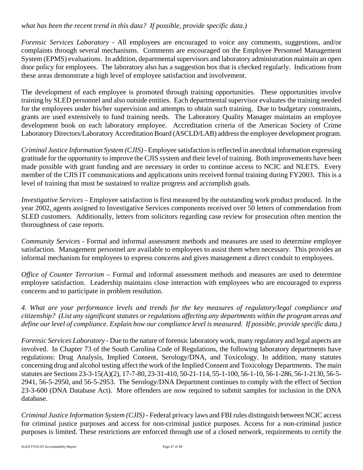# *what has been the recent trend in this data? If possible, provide specific data.)*

*Forensic Services Laboratory -* All employees are encouraged to voice any comments, suggestions, and/or complaints through several mechanisms. Comments are encouraged on the Employee Personnel Management System (EPMS) evaluations. In addition, departmental supervisors and laboratory administration maintain an open door policy for employees. The laboratory also has a suggestion box that is checked regularly. Indications from these areas demonstrate a high level of employee satisfaction and involvement.

The development of each employee is promoted through training opportunities. These opportunities involve training by SLED personnel and also outside entities. Each departmental supervisor evaluates the training needed for the employees under his/her supervision and attempts to obtain such training. Due to budgetary constraints, grants are used extensively to fund training needs. The Laboratory Quality Manager maintains an employee development book on each laboratory employee. Accreditation criteria of the American Society of Crime Laboratory Directors/Laboratory Accreditation Board (ASCLD/LAB) address the employee development program.

*Criminal Justice Information System (CJIS) -* Employee satisfaction is reflected in anecdotal information expressing gratitude for the opportunity to improve the CJIS system and their level of training. Both improvements have been made possible with grant funding and are necessary in order to continue access to NCIC and NLETS. Every member of the CJIS IT communications and applications units received formal training during FY2003. This is a level of training that must be sustained to realize progress and accomplish goals.

*Investigative Services –* Employee satisfaction is first measured by the outstanding work product produced. In the year 2002, agents assigned to Investigative Services components received over 50 letters of commendation from SLED customers. Additionally, letters from solicitors regarding case review for prosecution often mention the thoroughness of case reports.

*Community Services* - Formal and informal assessment methods and measures are used to determine employee satisfaction. Management personnel are available to employees to assist them when necessary. This provides an informal mechanism for employees to express concerns and gives management a direct conduit to employees.

*Office of Counter Terrorism – Formal and informal assessment methods and measures are used to determine* employee satisfaction. Leadership maintains close interaction with employees who are encouraged to express concerns and to participate in problem resolution.

*4. What are your performance levels and trends for the key measures of regulatory/legal compliance and citizenship? (List any significant statutes or regulations affecting any departments within the program areas and define our level of compliance. Explain how our compliance level is measured. If possible, provide specific data.)*

*Forensic Services Laboratory -* Due to the nature of forensic laboratory work, many regulatory and legal aspects are involved. In Chapter 73 of the South Carolina Code of Regulations, the following laboratory departments have regulations: Drug Analysis, Implied Consent, Serology/DNA, and Toxicology. In addition, many statutes concerning drug and alcohol testing affect the work of the Implied Consent and Toxicology Departments. The main statutes are Sections 23-3-15(A)(2), 17-7-80, 23-31-410, 50-21-114, 55-1-100, 56-1-10, 56-1-286, 56-1-2130, 56-5- 2941, 56-5-2950, and 56-5-2953. The Serology/DNA Department continues to comply with the effect of Section 23-3-600 (DNA Database Act). More offenders are now required to submit samples for inclusion in the DNA database.

*Criminal Justice Information System (CJIS) -* Federal privacy laws and FBI rules distinguish between NCIC access for criminal justice purposes and access for non-criminal justice purposes. Access for a non-criminal justice purposes is limited. These restrictions are enforced through use of a closed network, requirements to certify the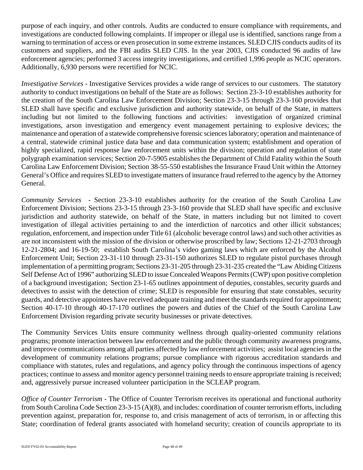purpose of each inquiry, and other controls. Audits are conducted to ensure compliance with requirements, and investigations are conducted following complaints. If improper or illegal use is identified, sanctions range from a warning to termination of access or even prosecution in some extreme instances. SLED CJIS conducts audits of its customers and suppliers, and the FBI audits SLED CJIS. In the year 2003, CJIS conducted 96 audits of law enforcement agencies; performed 3 access integrity investigations, and certified 1,996 people as NCIC operators. Additionally, 6,930 persons were recertified for NCIC.

*Investigative Services* - Investigative Services provides a wide range of services to our customers. The statutory authority to conduct investigations on behalf of the State are as follows: Section 23-3-10 establishes authority for the creation of the South Carolina Law Enforcement Division; Section 23-3-15 through 23-3-160 provides that SLED shall have specific and exclusive jurisdiction and authority statewide, on behalf of the State, in matters including but not limited to the following functions and activities: investigation of organized criminal investigations, arson investigation and emergency event management pertaining to explosive devices; the maintenance and operation of a statewide comprehensive forensic sciences laboratory; operation and maintenance of a central, statewide criminal justice data base and data communication system; establishment and operation of highly specialized, rapid response law enforcement units within the division; operation and regulation of state polygraph examination services; Section 20-7-5905 establishes the Department of Child Fatality within the South Carolina Law Enforcement Division; Section 38-55-550 establishes the Insurance Fraud Unit within the Attorney General's Office and requires SLED to investigate matters of insurance fraud referred to the agency by the Attorney General.

*Community Services* - Section 23-3-10 establishes authority for the creation of the South Carolina Law Enforcement Division; Sections 23-3-15 through 23-3-160 provide that SLED shall have specific and exclusive jurisdiction and authority statewide, on behalf of the State, in matters including but not limited to covert investigation of illegal activities pertaining to and the interdiction of narcotics and other illicit substances; regulation, enforcement, and inspection under Title 61 (alcoholic beverage control laws) and such other activities as are not inconsistent with the mission of the division or otherwise proscribed by law; Sections 12-21-2703 through 12-21-2804; and 16-19-50; establish South Carolina's video gaming laws which are enforced by the Alcohol Enforcement Unit; Section 23-31-110 through 23-31-150 authorizes SLED to regulate pistol purchases through implementation of a permitting program; Sections 23-31-205 through 23-31-235 created the "Law Abiding Citizens Self Defense Act of 1996" authorizing SLED to issue Concealed Weapons Permits (CWP) upon positive completion of a background investigation; Section 23-1-65 outlines appointment of deputies, constables, security guards and detectives to assist with the detection of crime; SLED is responsible for ensuring that state constables, security guards, and detective appointees have received adequate training and meet the standards required for appointment; Section 40-17-10 through 40-17-170 outlines the powers and duties of the Chief of the South Carolina Law Enforcement Division regarding private security businesses or private detectives.

The Community Services Units ensure community wellness through quality-oriented community relations programs; promote interaction between law enforcement and the public through community awareness programs, and improve communications among all parties affected by law enforcement activities; assist local agencies in the development of community relations programs; pursue compliance with rigorous accreditation standards and compliance with statutes, rules and regulations, and agency policy through the continuous inspections of agency practices; continue to assess and monitor agency personnel training needs to ensure appropriate training is received; and, aggressively pursue increased volunteer participation in the SCLEAP program.

*Office of Counter Terrorism -* The Office of Counter Terrorism receives its operational and functional authority from South Carolina Code Section 23-3-15 (A)(8), and includes: coordination of counter terrorism efforts, including prevention against, preparation for, response to, and crisis management of acts of terrorism, in or affecting this State; coordination of federal grants associated with homeland security; creation of councils appropriate to its